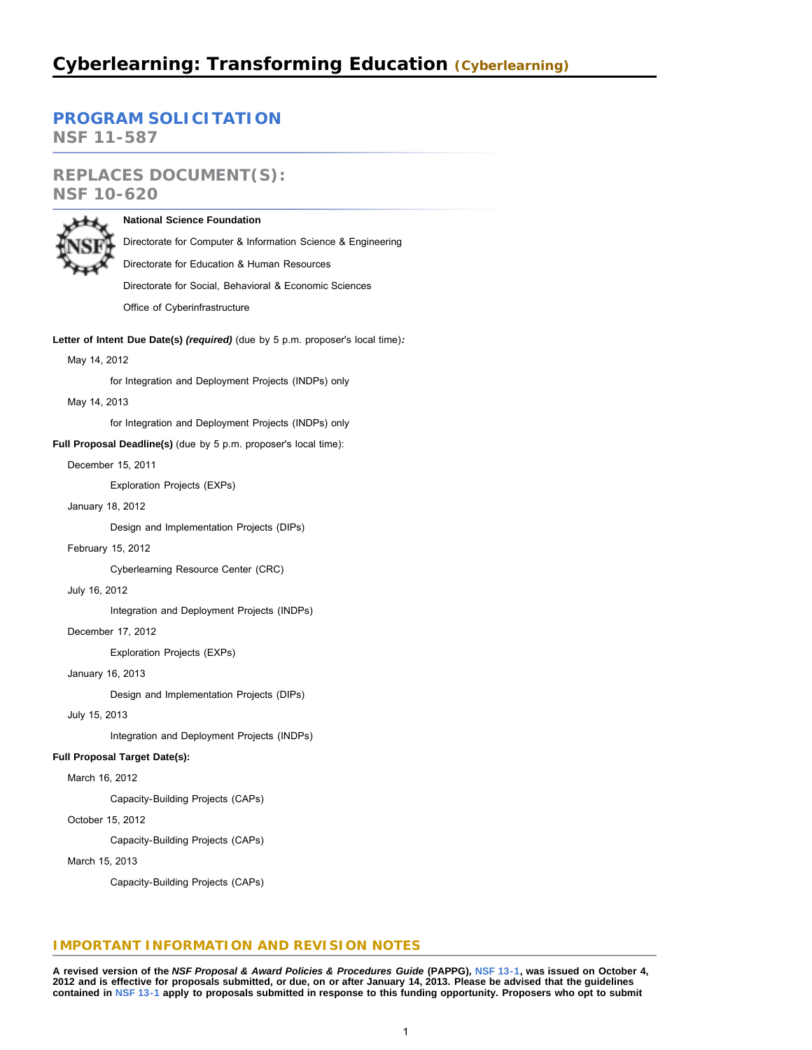# **Cyberlearning: Transforming Education (Cyberlearning)**

# **[PROGRAM SOLICITATION](#page-3-0)**

**NSF 11-587**

# **REPLACES DOCUMENT(S): NSF 10-620**



### **National Science Foundation**

Directorate for Computer & Information Science & Engineering Directorate for Education & Human Resources Directorate for Social, Behavioral & Economic Sciences

Office of Cyberinfrastructure

### **Letter of Intent Due Date(s)** *(required)* (due by 5 p.m. proposer's local time)*:*

### May 14, 2012

for Integration and Deployment Projects (INDPs) only

#### May 14, 2013

for Integration and Deployment Projects (INDPs) only

**Full Proposal Deadline(s)** (due by 5 p.m. proposer's local time):

#### December 15, 2011

Exploration Projects (EXPs)

#### January 18, 2012

Design and Implementation Projects (DIPs)

#### February 15, 2012

Cyberlearning Resource Center (CRC)

#### July 16, 2012

Integration and Deployment Projects (INDPs)

#### December 17, 2012

Exploration Projects (EXPs)

#### January 16, 2013

Design and Implementation Projects (DIPs)

### July 15, 2013

Integration and Deployment Projects (INDPs)

### **Full Proposal Target Date(s):**

March 16, 2012

Capacity-Building Projects (CAPs)

#### October 15, 2012

Capacity-Building Projects (CAPs)

### March 15, 2013

Capacity-Building Projects (CAPs)

### **IMPORTANT INFORMATION AND REVISION NOTES**

**A revised version of the** *NSF Proposal & Award Policies & Procedures Guide* **(PAPPG)***,* **[NSF 13-1,](http://www.nsf.gov/publications/pub_summ.jsp?ods_key=nsf13001) was issued on October 4, 2012 and is effective for proposals submitted, or due, on or after January 14, 2013. Please be advised that the guidelines contained in [NSF 13-1](http://www.nsf.gov/publications/pub_summ.jsp?ods_key=nsf13001) apply to proposals submitted in response to this funding opportunity. Proposers who opt to submit**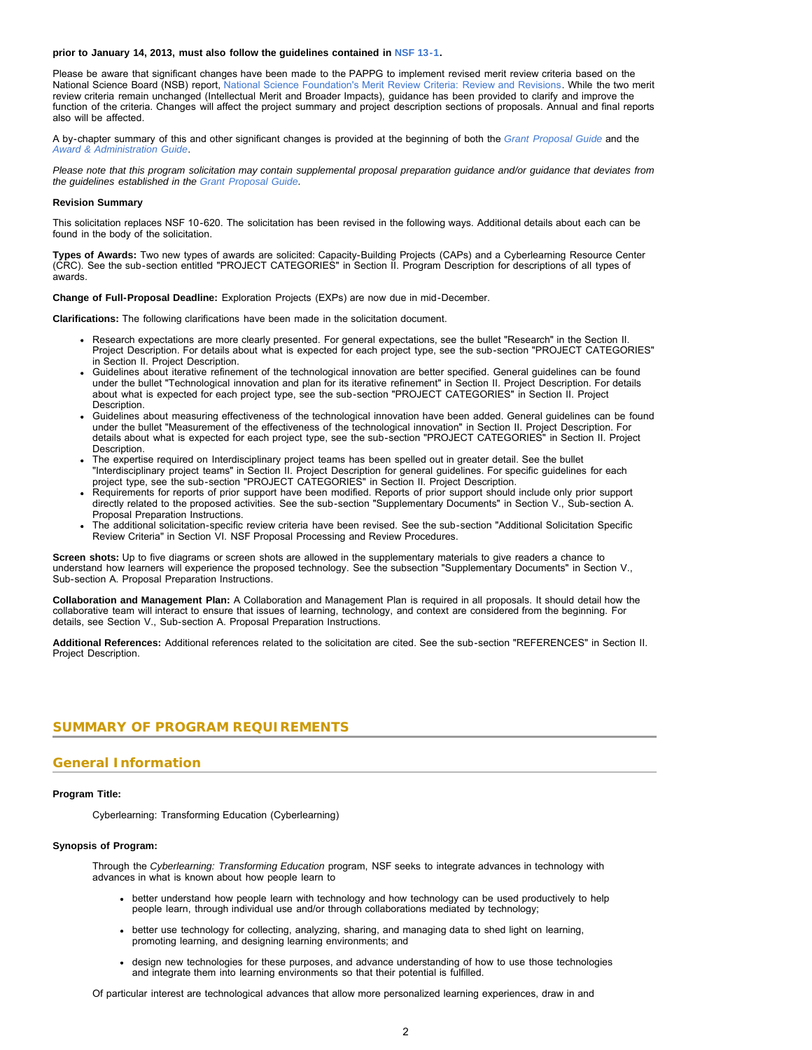#### **prior to January 14, 2013, must also follow the guidelines contained in [NSF 13-1.](http://www.nsf.gov/publications/pub_summ.jsp?ods_key=nsf13001)**

Please be aware that significant changes have been made to the PAPPG to implement revised merit review criteria based on the National Science Board (NSB) report, [National Science Foundation's Merit Review Criteria: Review and Revisions.](http://www.nsf.gov/nsb/publications/2011/meritreviewcriteria.pdf) While the two merit review criteria remain unchanged (Intellectual Merit and Broader Impacts), guidance has been provided to clarify and improve the function of the criteria. Changes will affect the project summary and project description sections of proposals. Annual and final reports also will be affected.

A by-chapter summary of this and other significant changes is provided at the beginning of both the *[Grant Proposal Guide](http://www.nsf.gov/pubs/policydocs/pappguide/nsf13001/gpg_sigchanges.jsp)* and the *[Award & Administration Guide](http://www.nsf.gov/pubs/policydocs/pappguide/nsf13001/aag_sigchanges.jsp)*.

*Please note that this program solicitation may contain supplemental proposal preparation guidance and/or guidance that deviates from the guidelines established in the [Grant Proposal Guide](http://www.nsf.gov/pubs/policydocs/pappguide/nsf13001/gpg_index.jsp).*

#### **Revision Summary**

This solicitation replaces NSF 10-620. The solicitation has been revised in the following ways. Additional details about each can be found in the body of the solicitation.

**Types of Awards:** Two new types of awards are solicited: Capacity-Building Projects (CAPs) and a Cyberlearning Resource Center (CRC). See the sub-section entitled "PROJECT CATEGORIES" in Section II. Program Description for descriptions of all types of awards.

**Change of Full-Proposal Deadline:** Exploration Projects (EXPs) are now due in mid-December.

**Clarifications:** The following clarifications have been made in the solicitation document.

- Research expectations are more clearly presented. For general expectations, see the bullet "Research" in the Section II. Project Description. For details about what is expected for each project type, see the sub-section "PROJECT CATEGORIES" in Section II. Project Description.
- Guidelines about iterative refinement of the technological innovation are better specified. General guidelines can be found under the bullet "Technological innovation and plan for its iterative refinement" in Section II. Project Description. For details about what is expected for each project type, see the sub-section "PROJECT CATEGORIES" in Section II. Project Description.
- Guidelines about measuring effectiveness of the technological innovation have been added. General guidelines can be found under the bullet "Measurement of the effectiveness of the technological innovation" in Section II. Project Description. For details about what is expected for each project type, see the sub-section "PROJECT CATEGORIES" in Section II. Project **Description**
- The expertise required on Interdisciplinary project teams has been spelled out in greater detail. See the bullet "Interdisciplinary project teams" in Section II. Project Description for general guidelines. For specific guidelines for each project type, see the sub-section "PROJECT CATEGORIES" in Section II. Project Description.
- Requirements for reports of prior support have been modified. Reports of prior support should include only prior support directly related to the proposed activities. See the sub-section "Supplementary Documents" in Section V., Sub-section A. Proposal Preparation Instructions.
- The additional solicitation-specific review criteria have been revised. See the sub-section "Additional Solicitation Specific Review Criteria" in Section VI. NSF Proposal Processing and Review Procedures.

**Screen shots:** Up to five diagrams or screen shots are allowed in the supplementary materials to give readers a chance to understand how learners will experience the proposed technology. See the subsection "Supplementary Documents" in Section V., Sub-section A. Proposal Preparation Instructions.

**Collaboration and Management Plan:** A Collaboration and Management Plan is required in all proposals. It should detail how the collaborative team will interact to ensure that issues of learning, technology, and context are considered from the beginning. For details, see Section V., Sub-section A. Proposal Preparation Instructions.

<span id="page-1-0"></span>**Additional References:** Additional references related to the solicitation are cited. See the sub-section "REFERENCES" in Section II. Project Description.

### **SUMMARY OF PROGRAM REQUIREMENTS**

### **General Information**

#### **Program Title:**

Cyberlearning: Transforming Education (Cyberlearning)

#### **Synopsis of Program:**

Through the *Cyberlearning: Transforming Education* program, NSF seeks to integrate advances in technology with advances in what is known about how people learn to

- better understand how people learn with technology and how technology can be used productively to help people learn, through individual use and/or through collaborations mediated by technology;
- better use technology for collecting, analyzing, sharing, and managing data to shed light on learning, promoting learning, and designing learning environments; and
- design new technologies for these purposes, and advance understanding of how to use those technologies and integrate them into learning environments so that their potential is fulfilled.

Of particular interest are technological advances that allow more personalized learning experiences, draw in and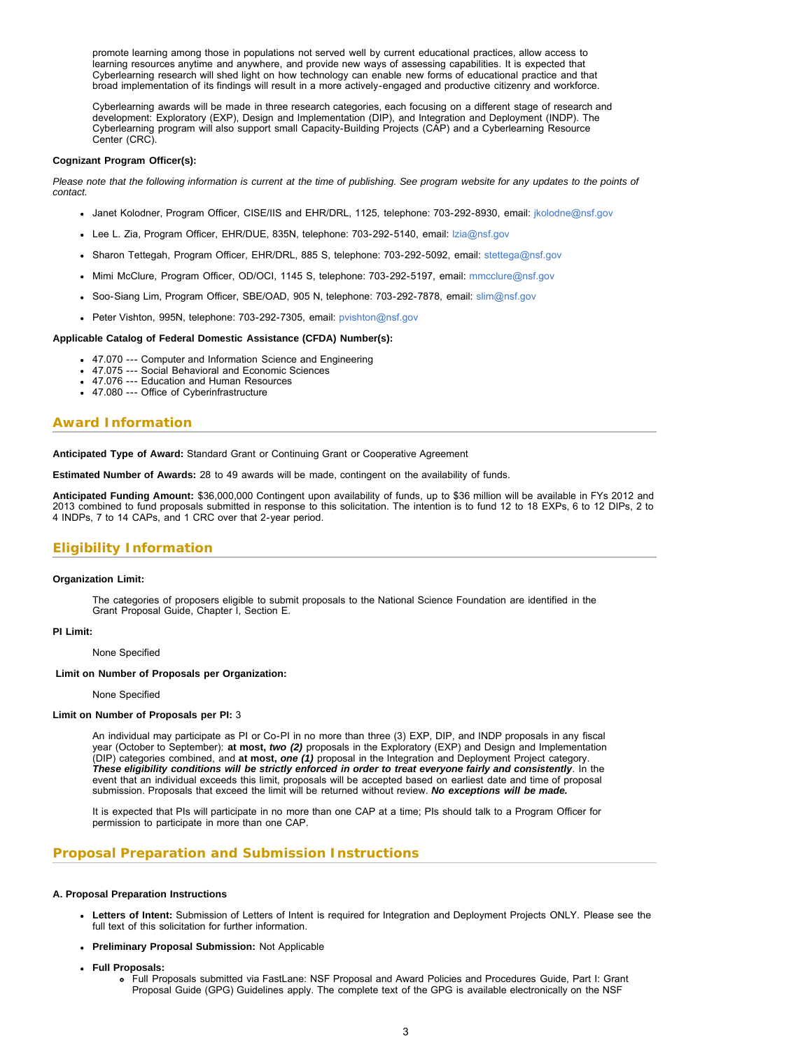promote learning among those in populations not served well by current educational practices, allow access to learning resources anytime and anywhere, and provide new ways of assessing capabilities. It is expected that Cyberlearning research will shed light on how technology can enable new forms of educational practice and that broad implementation of its findings will result in a more actively-engaged and productive citizenry and workforce.

Cyberlearning awards will be made in three research categories, each focusing on a different stage of research and development: Exploratory (EXP), Design and Implementation (DIP), and Integration and Deployment (INDP). The Cyberlearning program will also support small Capacity-Building Projects (CAP) and a Cyberlearning Resource Center (CRC).

#### **Cognizant Program Officer(s):**

*Please note that the following information is current at the time of publishing. See program website for any updates to the points of contact.*

- Janet Kolodner, Program Officer, CISE/IIS and EHR/DRL, 1125, telephone: 703-292-8930, email: [jkolodne@nsf.gov](mailto:jkolodne@nsf.gov)
- Lee L. Zia, Program Officer, EHR/DUE, 835N, telephone: 703-292-5140, email: [lzia@nsf.gov](mailto:lzia@nsf.gov)
- Sharon Tettegah, Program Officer, EHR/DRL, 885 S, telephone: 703-292-5092, email: [stettega@nsf.gov](mailto:stettega@nsf.gov)
- Mimi McClure, Program Officer, OD/OCI, 1145 S, telephone: 703-292-5197, email: [mmcclure@nsf.gov](mailto:mmcclure@nsf.gov)
- Soo-Siang Lim, Program Officer, SBE/OAD, 905 N, telephone: 703-292-7878, email: [slim@nsf.gov](mailto:slim@nsf.gov)
- Peter Vishton, 995N, telephone: 703-292-7305, email: [pvishton@nsf.gov](mailto:pvishton@nsf.gov)

#### **Applicable Catalog of Federal Domestic Assistance (CFDA) Number(s):**

- 47.070 --- Computer and Information Science and Engineering
- 47.075 --- Social Behavioral and Economic Sciences
- 47.076 --- Education and Human Resources
- 47.080 --- Office of Cyberinfrastructure

### **Award Information**

**Anticipated Type of Award:** Standard Grant or Continuing Grant or Cooperative Agreement

**Estimated Number of Awards:** 28 to 49 awards will be made, contingent on the availability of funds.

**Anticipated Funding Amount:** \$36,000,000 Contingent upon availability of funds, up to \$36 million will be available in FYs 2012 and 2013 combined to fund proposals submitted in response to this solicitation. The intention is to fund 12 to 18 EXPs, 6 to 12 DIPs, 2 to 4 INDPs, 7 to 14 CAPs, and 1 CRC over that 2-year period.

### **Eligibility Information**

#### **Organization Limit:**

The categories of proposers eligible to submit proposals to the National Science Foundation are identified in the Grant Proposal Guide, Chapter I, Section E.

#### **PI Limit:**

None Specified

 **Limit on Number of Proposals per Organization:**

#### None Specified

#### **Limit on Number of Proposals per PI:** 3

An individual may participate as PI or Co-PI in no more than three (3) EXP, DIP, and INDP proposals in any fiscal year (October to September): **at most,** *two (2)* proposals in the Exploratory (EXP) and Design and Implementation (DIP) categories combined, and **at most,** *one (1)* proposal in the Integration and Deployment Project category. *These eligibility conditions will be strictly enforced in order to treat everyone fairly and consistently.* In the event that an individual exceeds this limit, proposals will be accepted based on earliest date and time of proposal submission. Proposals that exceed the limit will be returned without review. *No exceptions will be made.*

It is expected that PIs will participate in no more than one CAP at a time; PIs should talk to a Program Officer for permission to participate in more than one CAP.

### **Proposal Preparation and Submission Instructions**

#### **A. Proposal Preparation Instructions**

- **Letters of Intent:** Submission of Letters of Intent is required for Integration and Deployment Projects ONLY. Please see the full text of this solicitation for further information.
- **Preliminary Proposal Submission:** Not Applicable
- **Full Proposals:**
	- Full Proposals submitted via FastLane: NSF Proposal and Award Policies and Procedures Guide, Part I: Grant Proposal Guide (GPG) Guidelines apply. The complete text of the GPG is available electronically on the NSF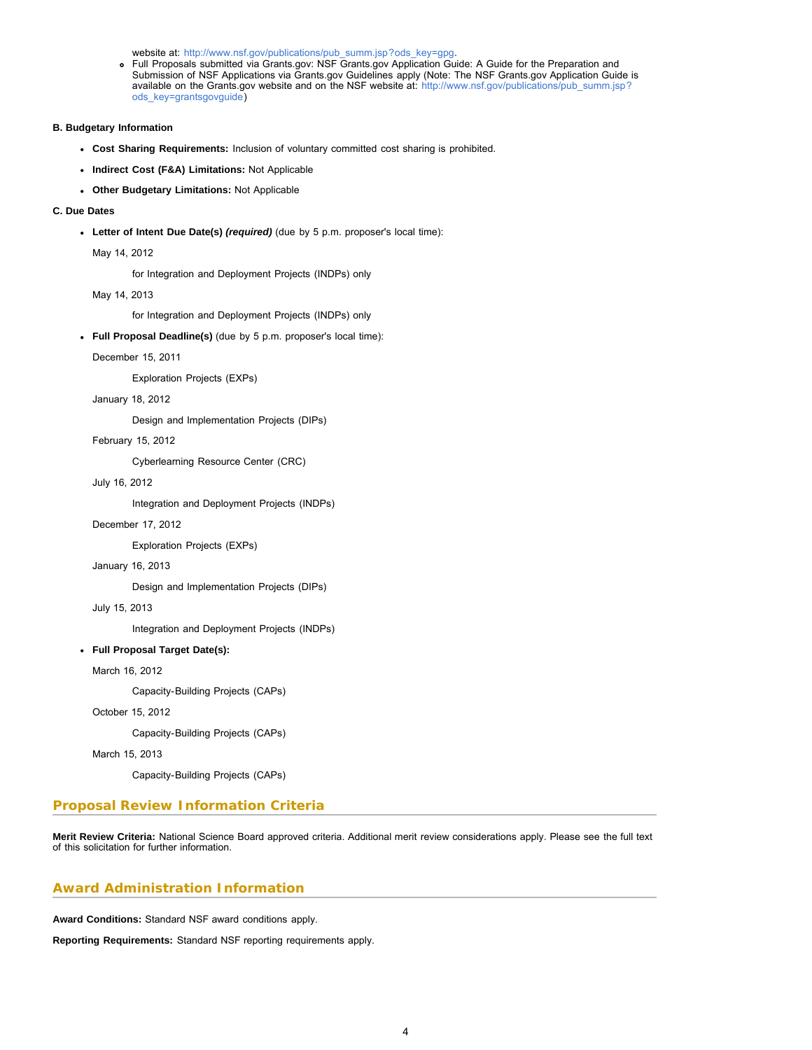website at: [http://www.nsf.gov/publications/pub\\_summ.jsp?ods\\_key=gpg.](http://www.nsf.gov/publications/pub_summ.jsp?ods_key=gpg)

Full Proposals submitted via Grants.gov: NSF Grants.gov Application Guide: A Guide for the Preparation and Submission of NSF Applications via Grants.gov Guidelines apply (Note: The NSF Grants.gov Application Guide is available on the Grants.gov website and on the NSF website at: [http://www.nsf.gov/publications/pub\\_summ.jsp?](http://www.nsf.gov/publications/pub_summ.jsp?ods_key=grantsgovguide) [ods\\_key=grantsgovguide\)](http://www.nsf.gov/publications/pub_summ.jsp?ods_key=grantsgovguide)

### **B. Budgetary Information**

- **Cost Sharing Requirements:** Inclusion of voluntary committed cost sharing is prohibited.
- **Indirect Cost (F&A) Limitations:** Not Applicable
- **Other Budgetary Limitations:** Not Applicable

### **C. Due Dates**

**Letter of Intent Due Date(s)** *(required)* (due by 5 p.m. proposer's local time):

May 14, 2012

for Integration and Deployment Projects (INDPs) only

May 14, 2013

for Integration and Deployment Projects (INDPs) only

**Full Proposal Deadline(s)** (due by 5 p.m. proposer's local time):

December 15, 2011

Exploration Projects (EXPs)

January 18, 2012

Design and Implementation Projects (DIPs)

#### February 15, 2012

Cyberlearning Resource Center (CRC)

July 16, 2012

Integration and Deployment Projects (INDPs)

### December 17, 2012

Exploration Projects (EXPs)

### January 16, 2013

Design and Implementation Projects (DIPs)

#### July 15, 2013

Integration and Deployment Projects (INDPs)

### **Full Proposal Target Date(s):**

March 16, 2012

Capacity-Building Projects (CAPs)

October 15, 2012

Capacity-Building Projects (CAPs)

March 15, 2013

Capacity-Building Projects (CAPs)

### **Proposal Review Information Criteria**

**Merit Review Criteria:** National Science Board approved criteria. Additional merit review considerations apply. Please see the full text of this solicitation for further information.

### **Award Administration Information**

**Award Conditions:** Standard NSF award conditions apply.

<span id="page-3-0"></span>**Reporting Requirements:** Standard NSF reporting requirements apply.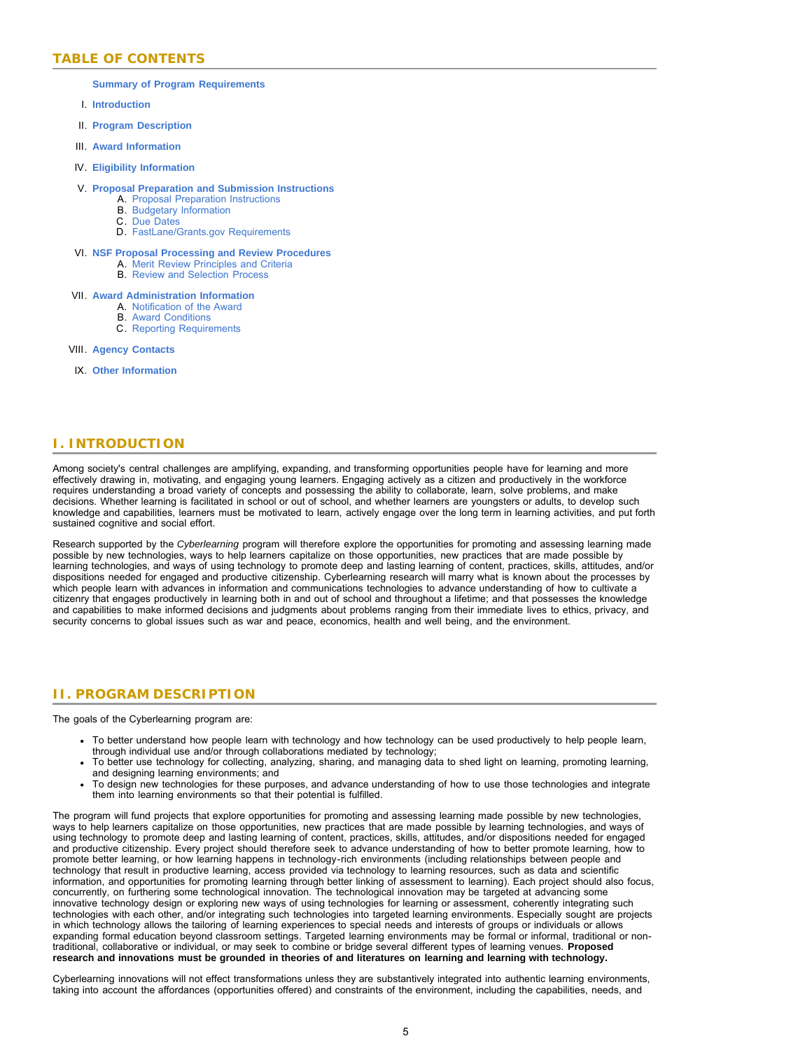### **TABLE OF CONTENTS**

#### **[Summary of Program Requirements](#page-1-0)**

- I. **[Introduction](#page-4-0)**
- II. **[Program Description](#page-4-1)**
- III. **[Award Information](#page-9-0)**
- IV. **[Eligibility Information](#page-9-1)**
- V. **[Proposal Preparation and Submission Instructions](#page-10-0)**
	- A. [Proposal Preparation Instructions](#page-10-0)
	- B. [Budgetary Information](#page-12-0) C. [Due Dates](#page-12-1)
	- D. [FastLane/Grants.gov Requirements](#page-13-0)
	-
- VI. **[NSF Proposal Processing and Review Procedures](#page-13-1)**
	- A. [Merit Review Principles and Criteria](#page-13-2)
	- B. [Review and Selection Process](#page-14-0)

#### VII. **[Award Administration Information](#page-15-0)**

- A. [Notification of the Award](#page-15-1)
- B. [Award Conditions](#page-15-2)
- C. [Reporting Requirements](#page-15-3)

VIII. **[Agency Contacts](#page-15-4)**

IX. **[Other Information](#page-16-0)**

### <span id="page-4-0"></span>**I. INTRODUCTION**

Among society's central challenges are amplifying, expanding, and transforming opportunities people have for learning and more effectively drawing in, motivating, and engaging young learners. Engaging actively as a citizen and productively in the workforce requires understanding a broad variety of concepts and possessing the ability to collaborate, learn, solve problems, and make decisions. Whether learning is facilitated in school or out of school, and whether learners are youngsters or adults, to develop such knowledge and capabilities, learners must be motivated to learn, actively engage over the long term in learning activities, and put forth sustained cognitive and social effort.

Research supported by the *Cyberlearning* program will therefore explore the opportunities for promoting and assessing learning made possible by new technologies, ways to help learners capitalize on those opportunities, new practices that are made possible by learning technologies, and ways of using technology to promote deep and lasting learning of content, practices, skills, attitudes, and/or dispositions needed for engaged and productive citizenship. Cyberlearning research will marry what is known about the processes by which people learn with advances in information and communications technologies to advance understanding of how to cultivate a citizenry that engages productively in learning both in and out of school and throughout a lifetime; and that possesses the knowledge and capabilities to make informed decisions and judgments about problems ranging from their immediate lives to ethics, privacy, and security concerns to global issues such as war and peace, economics, health and well being, and the environment.

### <span id="page-4-1"></span>**II. PROGRAM DESCRIPTION**

The goals of the Cyberlearning program are:

- To better understand how people learn with technology and how technology can be used productively to help people learn, through individual use and/or through collaborations mediated by technology;
- To better use technology for collecting, analyzing, sharing, and managing data to shed light on learning, promoting learning, and designing learning environments; and
- To design new technologies for these purposes, and advance understanding of how to use those technologies and integrate them into learning environments so that their potential is fulfilled.

The program will fund projects that explore opportunities for promoting and assessing learning made possible by new technologies, ways to help learners capitalize on those opportunities, new practices that are made possible by learning technologies, and ways of using technology to promote deep and lasting learning of content, practices, skills, attitudes, and/or dispositions needed for engaged and productive citizenship. Every project should therefore seek to advance understanding of how to better promote learning, how to promote better learning, or how learning happens in technology-rich environments (including relationships between people and technology that result in productive learning, access provided via technology to learning resources, such as data and scientific information, and opportunities for promoting learning through better linking of assessment to learning). Each project should also focus, concurrently, on furthering some technological innovation. The technological innovation may be targeted at advancing some innovative technology design or exploring new ways of using technologies for learning or assessment, coherently integrating such technologies with each other, and/or integrating such technologies into targeted learning environments. Especially sought are projects in which technology allows the tailoring of learning experiences to special needs and interests of groups or individuals or allows expanding formal education beyond classroom settings. Targeted learning environments may be formal or informal, traditional or nontraditional, collaborative or individual, or may seek to combine or bridge several different types of learning venues. **Proposed research and innovations must be grounded in theories of and literatures on learning and learning with technology.**

Cyberlearning innovations will not effect transformations unless they are substantively integrated into authentic learning environments, taking into account the affordances (opportunities offered) and constraints of the environment, including the capabilities, needs, and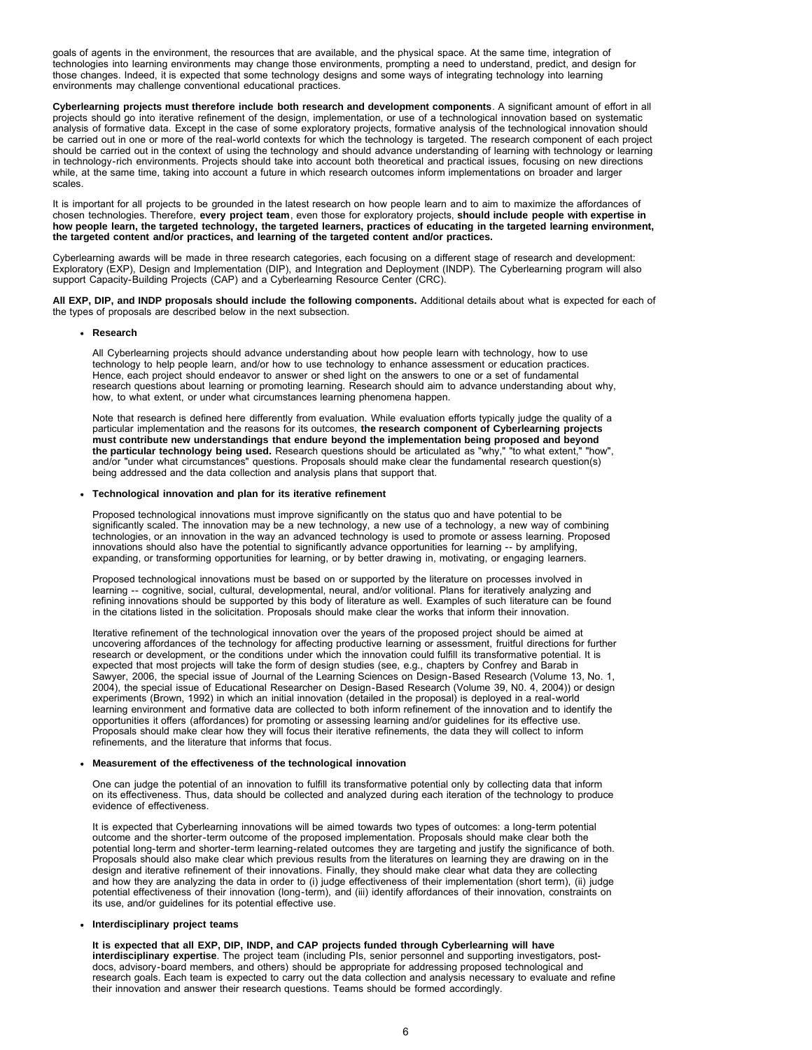goals of agents in the environment, the resources that are available, and the physical space. At the same time, integration of technologies into learning environments may change those environments, prompting a need to understand, predict, and design for those changes. Indeed, it is expected that some technology designs and some ways of integrating technology into learning environments may challenge conventional educational practices.

**Cyberlearning projects must therefore include both research and development components**. A significant amount of effort in all projects should go into iterative refinement of the design, implementation, or use of a technological innovation based on systematic analysis of formative data. Except in the case of some exploratory projects, formative analysis of the technological innovation should be carried out in one or more of the real-world contexts for which the technology is targeted. The research component of each project should be carried out in the context of using the technology and should advance understanding of learning with technology or learning in technology-rich environments. Projects should take into account both theoretical and practical issues, focusing on new directions while, at the same time, taking into account a future in which research outcomes inform implementations on broader and larger scales.

It is important for all projects to be grounded in the latest research on how people learn and to aim to maximize the affordances of chosen technologies. Therefore, **every project team**, even those for exploratory projects, **should include people with expertise in how people learn, the targeted technology, the targeted learners, practices of educating in the targeted learning environment, the targeted content and/or practices, and learning of the targeted content and/or practices.**

Cyberlearning awards will be made in three research categories, each focusing on a different stage of research and development: Exploratory (EXP), Design and Implementation (DIP), and Integration and Deployment (INDP). The Cyberlearning program will also support Capacity-Building Projects (CAP) and a Cyberlearning Resource Center (CRC).

**All EXP, DIP, and INDP proposals should include the following components.** Additional details about what is expected for each of the types of proposals are described below in the next subsection.

#### **Research**

All Cyberlearning projects should advance understanding about how people learn with technology, how to use technology to help people learn, and/or how to use technology to enhance assessment or education practices. Hence, each project should endeavor to answer or shed light on the answers to one or a set of fundamental research questions about learning or promoting learning. Research should aim to advance understanding about why, how, to what extent, or under what circumstances learning phenomena happen.

Note that research is defined here differently from evaluation. While evaluation efforts typically judge the quality of a particular implementation and the reasons for its outcomes, **the research component of Cyberlearning projects must contribute new understandings that endure beyond the implementation being proposed and beyond the particular technology being used.** Research questions should be articulated as "why," "to what extent," "how", and/or "under what circumstances" questions. Proposals should make clear the fundamental research question(s) being addressed and the data collection and analysis plans that support that.

#### **Technological innovation and plan for its iterative refinement**

Proposed technological innovations must improve significantly on the status quo and have potential to be significantly scaled. The innovation may be a new technology, a new use of a technology, a new way of combining technologies, or an innovation in the way an advanced technology is used to promote or assess learning. Proposed innovations should also have the potential to significantly advance opportunities for learning -- by amplifying, expanding, or transforming opportunities for learning, or by better drawing in, motivating, or engaging learners.

Proposed technological innovations must be based on or supported by the literature on processes involved in learning -- cognitive, social, cultural, developmental, neural, and/or volitional. Plans for iteratively analyzing and refining innovations should be supported by this body of literature as well. Examples of such literature can be found in the citations listed in the solicitation. Proposals should make clear the works that inform their innovation.

Iterative refinement of the technological innovation over the years of the proposed project should be aimed at uncovering affordances of the technology for affecting productive learning or assessment, fruitful directions for further research or development, or the conditions under which the innovation could fulfill its transformative potential. It is expected that most projects will take the form of design studies (see, e.g., chapters by Confrey and Barab in Sawyer, 2006, the special issue of Journal of the Learning Sciences on Design-Based Research (Volume 13, No. 1, 2004), the special issue of Educational Researcher on Design-Based Research (Volume 39, N0. 4, 2004)) or design experiments (Brown, 1992) in which an initial innovation (detailed in the proposal) is deployed in a real-world learning environment and formative data are collected to both inform refinement of the innovation and to identify the opportunities it offers (affordances) for promoting or assessing learning and/or guidelines for its effective use. Proposals should make clear how they will focus their iterative refinements, the data they will collect to inform refinements, and the literature that informs that focus.

#### **Measurement of the effectiveness of the technological innovation**

One can judge the potential of an innovation to fulfill its transformative potential only by collecting data that inform on its effectiveness. Thus, data should be collected and analyzed during each iteration of the technology to produce evidence of effectiveness.

It is expected that Cyberlearning innovations will be aimed towards two types of outcomes: a long-term potential outcome and the shorter-term outcome of the proposed implementation. Proposals should make clear both the potential long-term and shorter-term learning-related outcomes they are targeting and justify the significance of both. Proposals should also make clear which previous results from the literatures on learning they are drawing on in the design and iterative refinement of their innovations. Finally, they should make clear what data they are collecting and how they are analyzing the data in order to (i) judge effectiveness of their implementation (short term), (ii) judge potential effectiveness of their innovation (long-term), and (iii) identify affordances of their innovation, constraints on its use, and/or guidelines for its potential effective use.

#### **Interdisciplinary project teams**

**It is expected that all EXP, DIP, INDP, and CAP projects funded through Cyberlearning will have interdisciplinary expertise**. The project team (including PIs, senior personnel and supporting investigators, postdocs, advisory-board members, and others) should be appropriate for addressing proposed technological and research goals. Each team is expected to carry out the data collection and analysis necessary to evaluate and refine their innovation and answer their research questions. Teams should be formed accordingly.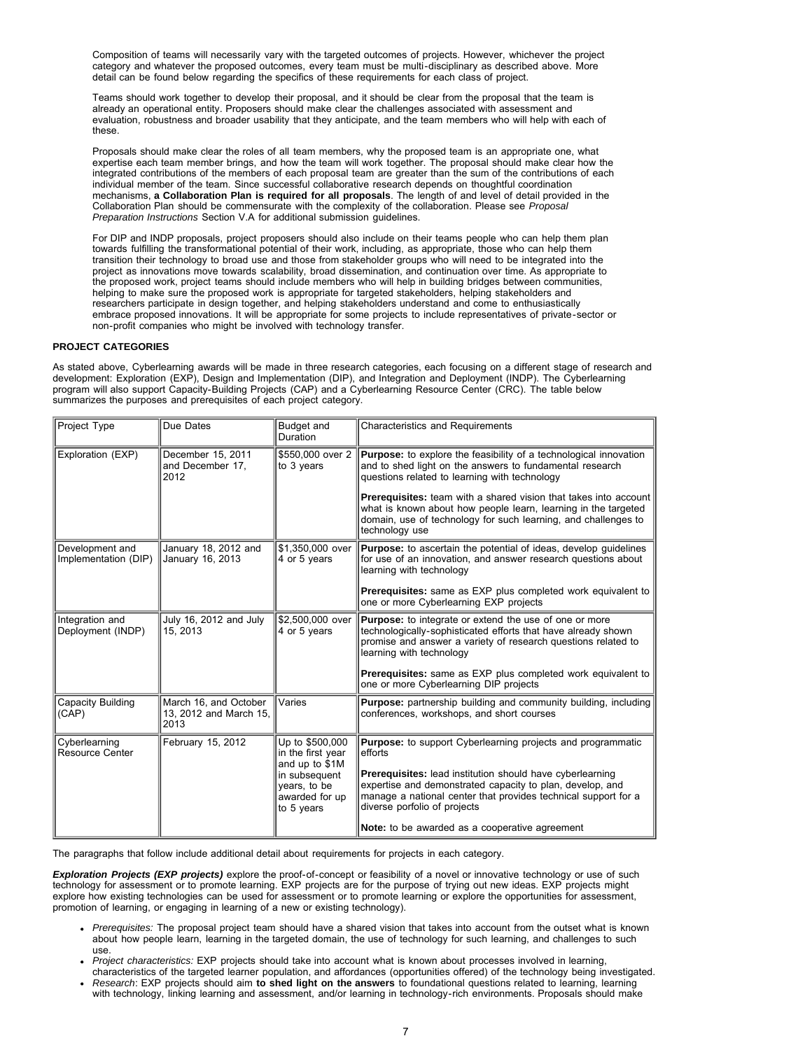Composition of teams will necessarily vary with the targeted outcomes of projects. However, whichever the project category and whatever the proposed outcomes, every team must be multi-disciplinary as described above. More detail can be found below regarding the specifics of these requirements for each class of project.

Teams should work together to develop their proposal, and it should be clear from the proposal that the team is already an operational entity. Proposers should make clear the challenges associated with assessment and evaluation, robustness and broader usability that they anticipate, and the team members who will help with each of these.

Proposals should make clear the roles of all team members, why the proposed team is an appropriate one, what expertise each team member brings, and how the team will work together. The proposal should make clear how the integrated contributions of the members of each proposal team are greater than the sum of the contributions of each individual member of the team. Since successful collaborative research depends on thoughtful coordination mechanisms, **a Collaboration Plan is required for all proposals**. The length of and level of detail provided in the Collaboration Plan should be commensurate with the complexity of the collaboration. Please see *Proposal Preparation Instructions* Section V.A for additional submission guidelines.

For DIP and INDP proposals, project proposers should also include on their teams people who can help them plan towards fulfilling the transformational potential of their work, including, as appropriate, those who can help them transition their technology to broad use and those from stakeholder groups who will need to be integrated into the project as innovations move towards scalability, broad dissemination, and continuation over time. As appropriate to the proposed work, project teams should include members who will help in building bridges between communities, helping to make sure the proposed work is appropriate for targeted stakeholders, helping stakeholders and researchers participate in design together, and helping stakeholders understand and come to enthusiastically embrace proposed innovations. It will be appropriate for some projects to include representatives of private-sector or non-profit companies who might be involved with technology transfer.

#### **PROJECT CATEGORIES**

As stated above, Cyberlearning awards will be made in three research categories, each focusing on a different stage of research and development: Exploration (EXP), Design and Implementation (DIP), and Integration and Deployment (INDP). The Cyberlearning program will also support Capacity-Building Projects (CAP) and a Cyberlearning Resource Center (CRC). The table below summarizes the purposes and prerequisites of each project category.

| Project Type                            | Due Dates                                               | Budget and<br>Duration                                        | <b>Characteristics and Requirements</b>                                                                                                                                                                                     |  |  |  |  |
|-----------------------------------------|---------------------------------------------------------|---------------------------------------------------------------|-----------------------------------------------------------------------------------------------------------------------------------------------------------------------------------------------------------------------------|--|--|--|--|
| Exploration (EXP)                       | December 15, 2011<br>and December 17,<br>2012           | \$550,000 over 2<br>to 3 years                                | <b>Purpose:</b> to explore the feasibility of a technological innovation<br>and to shed light on the answers to fundamental research<br>questions related to learning with technology                                       |  |  |  |  |
|                                         |                                                         |                                                               | Prerequisites: team with a shared vision that takes into account<br>what is known about how people learn, learning in the targeted<br>domain, use of technology for such learning, and challenges to<br>technology use      |  |  |  |  |
| Development and<br>Implementation (DIP) | January 18, 2012 and<br>January 16, 2013                | \$1,350,000 over<br>4 or 5 years                              | <b>Purpose:</b> to ascertain the potential of ideas, develop guidelines<br>for use of an innovation, and answer research questions about<br>learning with technology                                                        |  |  |  |  |
|                                         |                                                         |                                                               | <b>Prerequisites:</b> same as EXP plus completed work equivalent to<br>one or more Cyberlearning EXP projects                                                                                                               |  |  |  |  |
| Integration and<br>Deployment (INDP)    | July 16, 2012 and July<br>15, 2013                      | \$2,500,000 over<br>4 or 5 years                              | <b>Purpose:</b> to integrate or extend the use of one or more<br>technologically-sophisticated efforts that have already shown<br>promise and answer a variety of research questions related to<br>learning with technology |  |  |  |  |
|                                         |                                                         |                                                               | <b>Prerequisites:</b> same as EXP plus completed work equivalent to<br>one or more Cyberlearning DIP projects                                                                                                               |  |  |  |  |
| Capacity Building<br>(CAP)              | March 16, and October<br>13, 2012 and March 15,<br>2013 | Varies                                                        | <b>Purpose:</b> partnership building and community building, including<br>conferences, workshops, and short courses                                                                                                         |  |  |  |  |
| Cyberlearning<br><b>Resource Center</b> | February 15, 2012                                       | Up to \$500,000<br>in the first year<br>and up to \$1M        | <b>Purpose:</b> to support Cyberlearning projects and programmatic<br>efforts                                                                                                                                               |  |  |  |  |
|                                         |                                                         | in subsequent<br>years, to be<br>awarded for up<br>to 5 years | Prerequisites: lead institution should have cyberlearning<br>expertise and demonstrated capacity to plan, develop, and<br>manage a national center that provides technical support for a<br>diverse porfolio of projects    |  |  |  |  |
|                                         |                                                         |                                                               | Note: to be awarded as a cooperative agreement                                                                                                                                                                              |  |  |  |  |

The paragraphs that follow include additional detail about requirements for projects in each category.

*Exploration Projects (EXP projects)* explore the proof-of-concept or feasibility of a novel or innovative technology or use of such technology for assessment or to promote learning. EXP projects are for the purpose of trying out new ideas. EXP projects might explore how existing technologies can be used for assessment or to promote learning or explore the opportunities for assessment, promotion of learning, or engaging in learning of a new or existing technology).

- *Prerequisites:* The proposal project team should have a shared vision that takes into account from the outset what is known about how people learn, learning in the targeted domain, the use of technology for such learning, and challenges to such use.
- *Project characteristics:* EXP projects should take into account what is known about processes involved in learning, characteristics of the targeted learner population, and affordances (opportunities offered) of the technology being investigated.
- *Research*: EXP projects should aim **to shed light on the answers** to foundational questions related to learning, learning with technology, linking learning and assessment, and/or learning in technology-rich environments. Proposals should make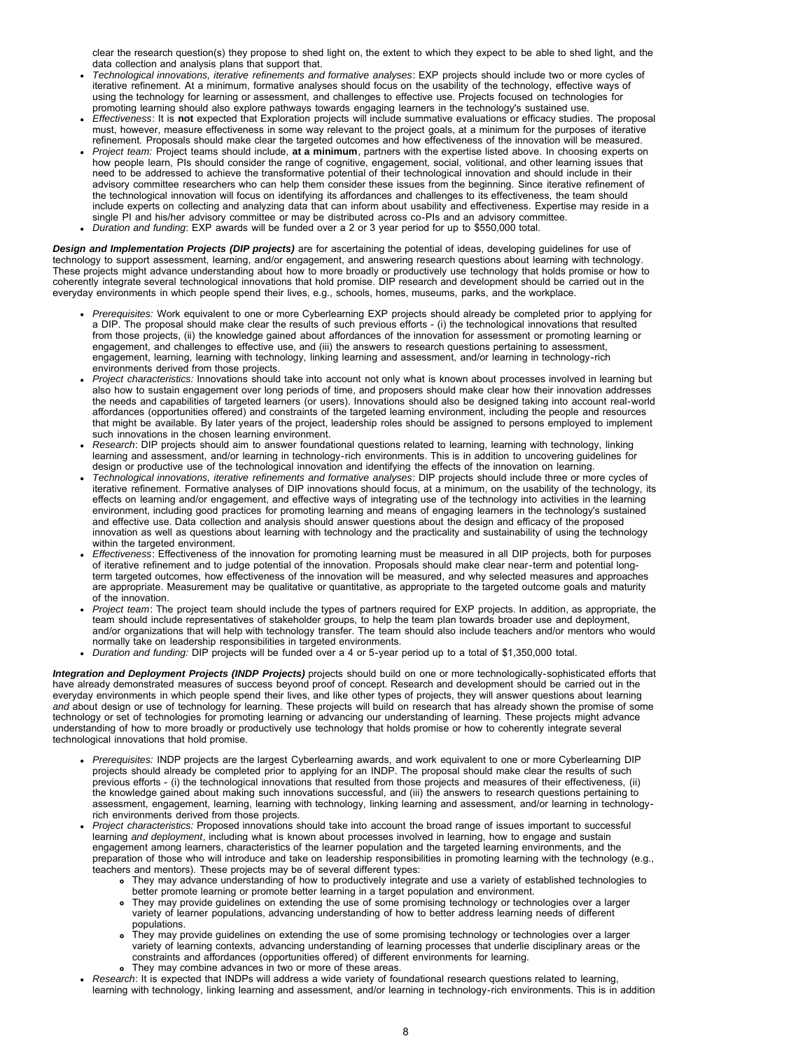clear the research question(s) they propose to shed light on, the extent to which they expect to be able to shed light, and the data collection and analysis plans that support that.

- *Technological innovations, iterative refinements and formative analyses*: EXP projects should include two or more cycles of iterative refinement. At a minimum, formative analyses should focus on the usability of the technology, effective ways of using the technology for learning or assessment, and challenges to effective use. Projects focused on technologies for promoting learning should also explore pathways towards engaging learners in the technology's sustained use.
- *Effectiveness*: It is **not** expected that Exploration projects will include summative evaluations or efficacy studies. The proposal must, however, measure effectiveness in some way relevant to the project goals, at a minimum for the purposes of iterative refinement. Proposals should make clear the targeted outcomes and how effectiveness of the innovation will be measured.
- *Project team:* Project teams should include, **at a minimum**, partners with the expertise listed above. In choosing experts on how people learn, PIs should consider the range of cognitive, engagement, social, volitional, and other learning issues that need to be addressed to achieve the transformative potential of their technological innovation and should include in their advisory committee researchers who can help them consider these issues from the beginning. Since iterative refinement of the technological innovation will focus on identifying its affordances and challenges to its effectiveness, the team should include experts on collecting and analyzing data that can inform about usability and effectiveness. Expertise may reside in a single PI and his/her advisory committee or may be distributed across co-PIs and an advisory committee.
- *Duration and funding*: EXP awards will be funded over a 2 or 3 year period for up to \$550,000 total.

*Design and Implementation Projects (DIP projects)* are for ascertaining the potential of ideas, developing guidelines for use of technology to support assessment, learning, and/or engagement, and answering research questions about learning with technology. These projects might advance understanding about how to more broadly or productively use technology that holds promise or how to coherently integrate several technological innovations that hold promise. DIP research and development should be carried out in the everyday environments in which people spend their lives, e.g., schools, homes, museums, parks, and the workplace.

- *Prerequisites:* Work equivalent to one or more Cyberlearning EXP projects should already be completed prior to applying for a DIP. The proposal should make clear the results of such previous efforts - (i) the technological innovations that resulted from those projects, (ii) the knowledge gained about affordances of the innovation for assessment or promoting learning or engagement, and challenges to effective use, and (iii) the answers to research questions pertaining to assessment, engagement, learning, learning with technology, linking learning and assessment, and/or learning in technology-rich environments derived from those projects.
- *Project characteristics:* Innovations should take into account not only what is known about processes involved in learning but also how to sustain engagement over long periods of time, and proposers should make clear how their innovation addresses the needs and capabilities of targeted learners (or users). Innovations should also be designed taking into account real-world affordances (opportunities offered) and constraints of the targeted learning environment, including the people and resources that might be available. By later years of the project, leadership roles should be assigned to persons employed to implement such innovations in the chosen learning environment.
- *Research*: DIP projects should aim to answer foundational questions related to learning, learning with technology, linking learning and assessment, and/or learning in technology-rich environments. This is in addition to uncovering guidelines for design or productive use of the technological innovation and identifying the effects of the innovation on learning.
- *Technological innovations, iterative refinements and formative analyses*: DIP projects should include three or more cycles of iterative refinement. Formative analyses of DIP innovations should focus, at a minimum, on the usability of the technology, its effects on learning and/or engagement, and effective ways of integrating use of the technology into activities in the learning environment, including good practices for promoting learning and means of engaging learners in the technology's sustained and effective use. Data collection and analysis should answer questions about the design and efficacy of the proposed innovation as well as questions about learning with technology and the practicality and sustainability of using the technology within the targeted environment.
- *Effectiveness*: Effectiveness of the innovation for promoting learning must be measured in all DIP projects, both for purposes of iterative refinement and to judge potential of the innovation. Proposals should make clear near-term and potential longterm targeted outcomes, how effectiveness of the innovation will be measured, and why selected measures and approaches are appropriate. Measurement may be qualitative or quantitative, as appropriate to the targeted outcome goals and maturity of the innovation.
- *Project team*: The project team should include the types of partners required for EXP projects. In addition, as appropriate, the team should include representatives of stakeholder groups, to help the team plan towards broader use and deployment, and/or organizations that will help with technology transfer. The team should also include teachers and/or mentors who would normally take on leadership responsibilities in targeted environments.
- *Duration and funding:* DIP projects will be funded over a 4 or 5-year period up to a total of \$1,350,000 total.

*Integration and Deployment Projects (INDP Projects)* projects should build on one or more technologically-sophisticated efforts that have already demonstrated measures of success beyond proof of concept. Research and development should be carried out in the everyday environments in which people spend their lives, and like other types of projects, they will answer questions about learning *and* about design or use of technology for learning. These projects will build on research that has already shown the promise of some technology or set of technologies for promoting learning or advancing our understanding of learning. These projects might advance understanding of how to more broadly or productively use technology that holds promise or how to coherently integrate several technological innovations that hold promise.

- *Prerequisites:* INDP projects are the largest Cyberlearning awards, and work equivalent to one or more Cyberlearning DIP projects should already be completed prior to applying for an INDP. The proposal should make clear the results of such previous efforts - (i) the technological innovations that resulted from those projects and measures of their effectiveness, (ii) the knowledge gained about making such innovations successful, and (iii) the answers to research questions pertaining to assessment, engagement, learning, learning with technology, linking learning and assessment, and/or learning in technologyrich environments derived from those projects.
- *Project characteristics:* Proposed innovations should take into account the broad range of issues important to successful learning *and deployment*, including what is known about processes involved in learning, how to engage and sustain engagement among learners, characteristics of the learner population and the targeted learning environments, and the preparation of those who will introduce and take on leadership responsibilities in promoting learning with the technology (e.g., teachers and mentors). These projects may be of several different types:
	- They may advance understanding of how to productively integrate and use a variety of established technologies to better promote learning or promote better learning in a target population and environment.
	- They may provide guidelines on extending the use of some promising technology or technologies over a larger variety of learner populations, advancing understanding of how to better address learning needs of different populations.
	- They may provide guidelines on extending the use of some promising technology or technologies over a larger variety of learning contexts, advancing understanding of learning processes that underlie disciplinary areas or the constraints and affordances (opportunities offered) of different environments for learning.
	- They may combine advances in two or more of these areas.
- *Research*: It is expected that INDPs will address a wide variety of foundational research questions related to learning, learning with technology, linking learning and assessment, and/or learning in technology-rich environments. This is in addition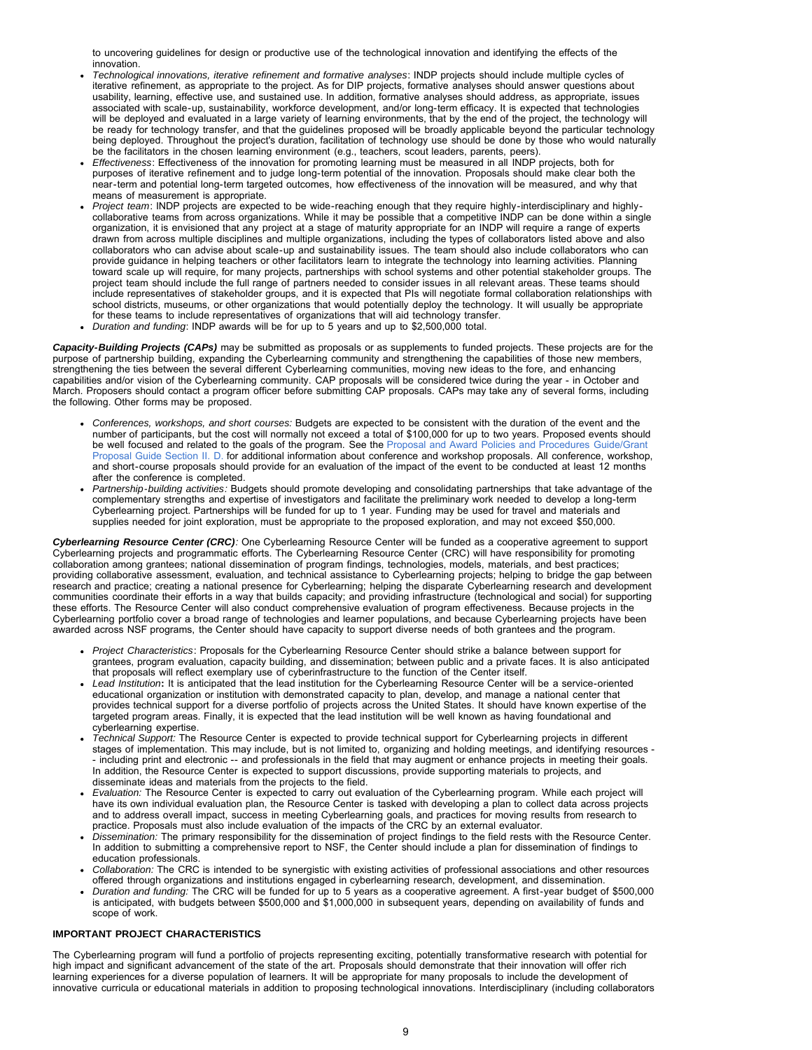to uncovering guidelines for design or productive use of the technological innovation and identifying the effects of the innovation.

- *Technological innovations, iterative refinement and formative analyses*: INDP projects should include multiple cycles of iterative refinement, as appropriate to the project. As for DIP projects, formative analyses should answer questions about usability, learning, effective use, and sustained use. In addition, formative analyses should address, as appropriate, issues associated with scale-up, sustainability, workforce development, and/or long-term efficacy. It is expected that technologies will be deployed and evaluated in a large variety of learning environments, that by the end of the project, the technology will be ready for technology transfer, and that the guidelines proposed will be broadly applicable beyond the particular technology being deployed. Throughout the project's duration, facilitation of technology use should be done by those who would naturally be the facilitators in the chosen learning environment (e.g., teachers, scout leaders, parents, peers).
- *Effectiveness*: Effectiveness of the innovation for promoting learning must be measured in all INDP projects, both for purposes of iterative refinement and to judge long-term potential of the innovation. Proposals should make clear both the near-term and potential long-term targeted outcomes, how effectiveness of the innovation will be measured, and why that means of measurement is appropriate.
- *Project team*: INDP projects are expected to be wide-reaching enough that they require highly-interdisciplinary and highlycollaborative teams from across organizations. While it may be possible that a competitive INDP can be done within a single organization, it is envisioned that any project at a stage of maturity appropriate for an INDP will require a range of experts drawn from across multiple disciplines and multiple organizations, including the types of collaborators listed above and also collaborators who can advise about scale-up and sustainability issues. The team should also include collaborators who can provide guidance in helping teachers or other facilitators learn to integrate the technology into learning activities. Planning toward scale up will require, for many projects, partnerships with school systems and other potential stakeholder groups. The project team should include the full range of partners needed to consider issues in all relevant areas. These teams should include representatives of stakeholder groups, and it is expected that PIs will negotiate formal collaboration relationships with school districts, museums, or other organizations that would potentially deploy the technology. It will usually be appropriate for these teams to include representatives of organizations that will aid technology transfer.
- *Duration and funding*: INDP awards will be for up to 5 years and up to \$2,500,000 total.

*Capacity-Building Projects (CAPs)* may be submitted as proposals or as supplements to funded projects. These projects are for the purpose of partnership building, expanding the Cyberlearning community and strengthening the capabilities of those new members, strengthening the ties between the several different Cyberlearning communities, moving new ideas to the fore, and enhancing capabilities and/or vision of the Cyberlearning community. CAP proposals will be considered twice during the year - in October and March. Proposers should contact a program officer before submitting CAP proposals. CAPs may take any of several forms, including the following. Other forms may be proposed.

- *Conferences, workshops, and short courses:* Budgets are expected to be consistent with the duration of the event and the number of participants, but the cost will normally not exceed a total of \$100,000 for up to two years. Proposed events should be well focused and related to the goals of the program. See the [Proposal and Award Policies and Procedures Guide/Grant](http://www.nsf.gov/pubs/policydocs/pappguide/nsf09_29/gpg_2.jsp#IID8) [Proposal Guide Section II. D.](http://www.nsf.gov/pubs/policydocs/pappguide/nsf09_29/gpg_2.jsp#IID8) for additional information about conference and workshop proposals. All conference, workshop, and short-course proposals should provide for an evaluation of the impact of the event to be conducted at least 12 months after the conference is completed.
- *Partnership-building activities:* Budgets should promote developing and consolidating partnerships that take advantage of the complementary strengths and expertise of investigators and facilitate the preliminary work needed to develop a long-term Cyberlearning project. Partnerships will be funded for up to 1 year. Funding may be used for travel and materials and supplies needed for joint exploration, must be appropriate to the proposed exploration, and may not exceed \$50,000.

*Cyberlearning Resource Center (CRC):* One Cyberlearning Resource Center will be funded as a cooperative agreement to support Cyberlearning projects and programmatic efforts. The Cyberlearning Resource Center (CRC) will have responsibility for promoting collaboration among grantees; national dissemination of program findings, technologies, models, materials, and best practices; providing collaborative assessment, evaluation, and technical assistance to Cyberlearning projects; helping to bridge the gap between research and practice; creating a national presence for Cyberlearning; helping the disparate Cyberlearning research and development communities coordinate their efforts in a way that builds capacity; and providing infrastructure (technological and social) for supporting these efforts. The Resource Center will also conduct comprehensive evaluation of program effectiveness. Because projects in the Cyberlearning portfolio cover a broad range of technologies and learner populations, and because Cyberlearning projects have been awarded across NSF programs, the Center should have capacity to support diverse needs of both grantees and the program.

- *Project Characteristics*: Proposals for the Cyberlearning Resource Center should strike a balance between support for grantees, program evaluation, capacity building, and dissemination; between public and a private faces. It is also anticipated that proposals will reflect exemplary use of cyberinfrastructure to the function of the Center itself.
- *Lead Institution***:** It is anticipated that the lead institution for the Cyberlearning Resource Center will be a service-oriented educational organization or institution with demonstrated capacity to plan, develop, and manage a national center that provides technical support for a diverse portfolio of projects across the United States. It should have known expertise of the targeted program areas. Finally, it is expected that the lead institution will be well known as having foundational and cyberlearning expertise.
- *Technical Support:* The Resource Center is expected to provide technical support for Cyberlearning projects in different stages of implementation. This may include, but is not limited to, organizing and holding meetings, and identifying resources - - including print and electronic -- and professionals in the field that may augment or enhance projects in meeting their goals. In addition, the Resource Center is expected to support discussions, provide supporting materials to projects, and disseminate ideas and materials from the projects to the field.
- *Evaluation:* The Resource Center is expected to carry out evaluation of the Cyberlearning program. While each project will have its own individual evaluation plan, the Resource Center is tasked with developing a plan to collect data across projects and to address overall impact, success in meeting Cyberlearning goals, and practices for moving results from research to practice. Proposals must also include evaluation of the impacts of the CRC by an external evaluator.
- *Dissemination:* The primary responsibility for the dissemination of project findings to the field rests with the Resource Center. In addition to submitting a comprehensive report to NSF, the Center should include a plan for dissemination of findings to education professionals.
- *Collaboration:* The CRC is intended to be synergistic with existing activities of professional associations and other resources offered through organizations and institutions engaged in cyberlearning research, development, and dissemination.
- *Duration and funding:* The CRC will be funded for up to 5 years as a cooperative agreement. A first-year budget of \$500,000 is anticipated, with budgets between \$500,000 and \$1,000,000 in subsequent years, depending on availability of funds and scope of work.

#### **IMPORTANT PROJECT CHARACTERISTICS**

The Cyberlearning program will fund a portfolio of projects representing exciting, potentially transformative research with potential for high impact and significant advancement of the state of the art. Proposals should demonstrate that their innovation will offer rich learning experiences for a diverse population of learners. It will be appropriate for many proposals to include the development of innovative curricula or educational materials in addition to proposing technological innovations. Interdisciplinary (including collaborators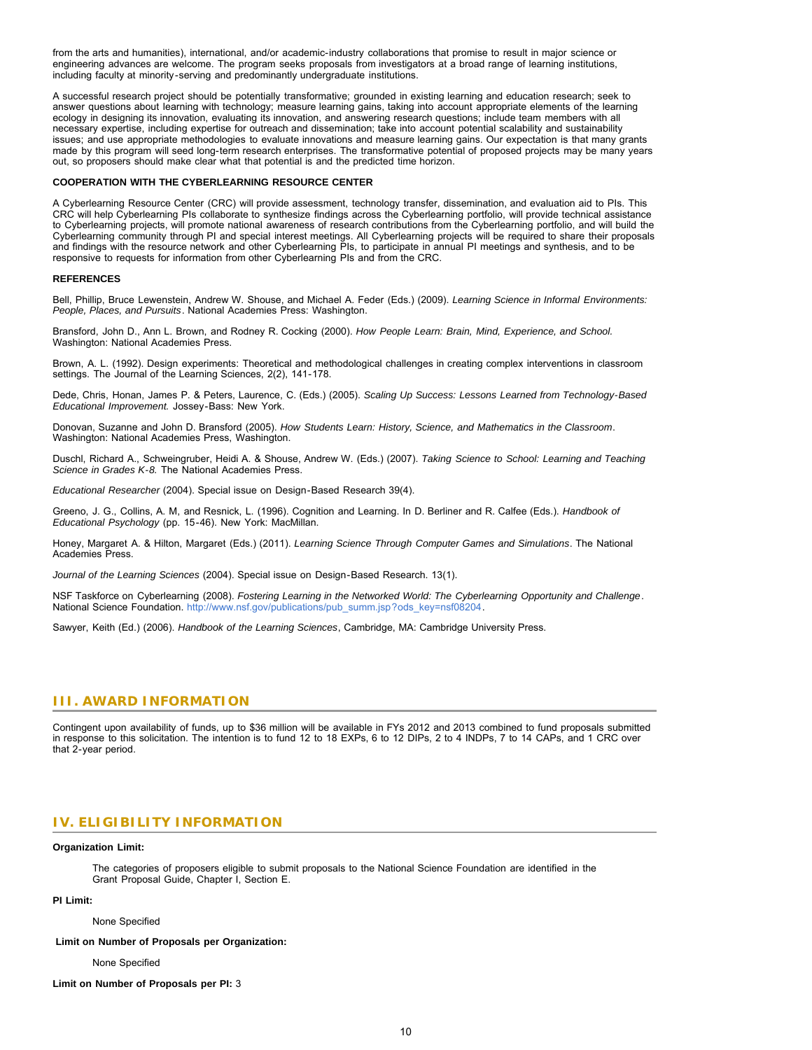from the arts and humanities), international, and/or academic-industry collaborations that promise to result in major science or engineering advances are welcome. The program seeks proposals from investigators at a broad range of learning institutions, including faculty at minority-serving and predominantly undergraduate institutions.

A successful research project should be potentially transformative; grounded in existing learning and education research; seek to answer questions about learning with technology; measure learning gains, taking into account appropriate elements of the learning ecology in designing its innovation, evaluating its innovation, and answering research questions; include team members with all necessary expertise, including expertise for outreach and dissemination; take into account potential scalability and sustainability issues; and use appropriate methodologies to evaluate innovations and measure learning gains. Our expectation is that many grants made by this program will seed long-term research enterprises. The transformative potential of proposed projects may be many years out, so proposers should make clear what that potential is and the predicted time horizon.

#### **COOPERATION WITH THE CYBERLEARNING RESOURCE CENTER**

A Cyberlearning Resource Center (CRC) will provide assessment, technology transfer, dissemination, and evaluation aid to PIs. This CRC will help Cyberlearning PIs collaborate to synthesize findings across the Cyberlearning portfolio, will provide technical assistance to Cyberlearning projects, will promote national awareness of research contributions from the Cyberlearning portfolio, and will build the Cyberlearning community through PI and special interest meetings. All Cyberlearning projects will be required to share their proposals and findings with the resource network and other Cyberlearning PIs, to participate in annual PI meetings and synthesis, and to be responsive to requests for information from other Cyberlearning PIs and from the CRC.

#### **REFERENCES**

Bell, Phillip, Bruce Lewenstein, Andrew W. Shouse, and Michael A. Feder (Eds.) (2009). *Learning Science in Informal Environments: People, Places, and Pursuits*. National Academies Press: Washington.

Bransford, John D., Ann L. Brown, and Rodney R. Cocking (2000). *How People Learn: Brain, Mind, Experience, and School.* Washington: National Academies Press.

Brown, A. L. (1992). Design experiments: Theoretical and methodological challenges in creating complex interventions in classroom settings. The Journal of the Learning Sciences, 2(2), 141-178.

Dede, Chris, Honan, James P. & Peters, Laurence, C. (Eds.) (2005). *Scaling Up Success: Lessons Learned from Technology-Based Educational Improvement.* Jossey-Bass: New York.

Donovan, Suzanne and John D. Bransford (2005). *How Students Learn: History, Science, and Mathematics in the Classroom*. Washington: National Academies Press, Washington.

Duschl, Richard A., Schweingruber, Heidi A. & Shouse, Andrew W. (Eds.) (2007). *Taking Science to School: Learning and Teaching Science in Grades K-8.* The National Academies Press.

*Educational Researcher* (2004). Special issue on Design-Based Research 39(4).

Greeno, J. G., Collins, A. M, and Resnick, L. (1996). Cognition and Learning. In D. Berliner and R. Calfee (Eds.). *Handbook of Educational Psychology* (pp. 15-46). New York: MacMillan.

Honey, Margaret A. & Hilton, Margaret (Eds.) (2011). *Learning Science Through Computer Games and Simulations*. The National Academies Press.

*Journal of the Learning Sciences* (2004). Special issue on Design-Based Research. 13(1).

NSF Taskforce on Cyberlearning (2008). *Fostering Learning in the Networked World: The Cyberlearning Opportunity and Challenge*. National Science Foundation. [http://www.nsf.gov/publications/pub\\_summ.jsp?ods\\_key=nsf08204.](http://www.nsf.gov/publications/pub_summ.jsp?ods_key=nsf08204)

<span id="page-9-0"></span>Sawyer, Keith (Ed.) (2006). *Handbook of the Learning Sciences*, Cambridge, MA: Cambridge University Press.

### **III. AWARD INFORMATION**

<span id="page-9-1"></span>Contingent upon availability of funds, up to \$36 million will be available in FYs 2012 and 2013 combined to fund proposals submitted in response to this solicitation. The intention is to fund 12 to 18 EXPs, 6 to 12 DIPs, 2 to 4 INDPs, 7 to 14 CAPs, and 1 CRC over that 2-year period.

### **IV. ELIGIBILITY INFORMATION**

#### **Organization Limit:**

The categories of proposers eligible to submit proposals to the National Science Foundation are identified in the Grant Proposal Guide, Chapter I, Section E.

**PI Limit:**

None Specified

 **Limit on Number of Proposals per Organization:**

None Specified

**Limit on Number of Proposals per PI:** 3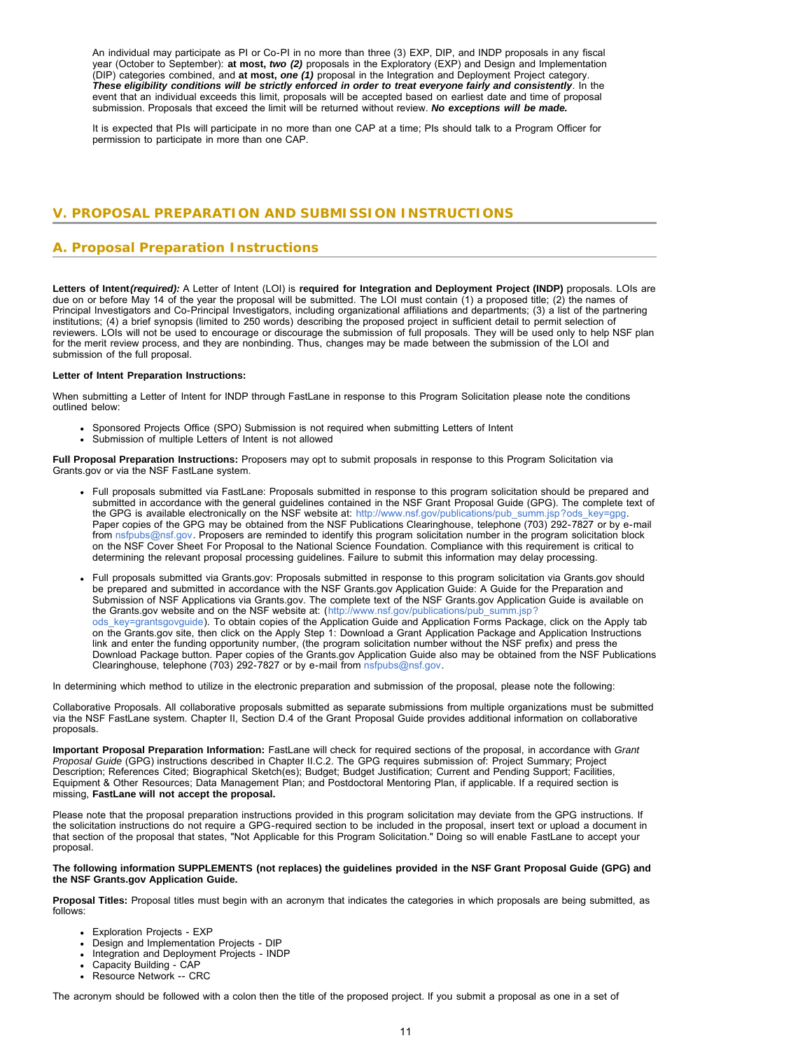An individual may participate as PI or Co-PI in no more than three (3) EXP, DIP, and INDP proposals in any fiscal year (October to September): **at most,** *two (2)* proposals in the Exploratory (EXP) and Design and Implementation (DIP) categories combined, and **at most,** *one (1)* proposal in the Integration and Deployment Project category. *These eligibility conditions will be strictly enforced in order to treat everyone fairly and consistently.* In the event that an individual exceeds this limit, proposals will be accepted based on earliest date and time of proposal submission. Proposals that exceed the limit will be returned without review. *No exceptions will be made.*

It is expected that PIs will participate in no more than one CAP at a time; PIs should talk to a Program Officer for permission to participate in more than one CAP.

### <span id="page-10-0"></span>**V. PROPOSAL PREPARATION AND SUBMISSION INSTRUCTIONS**

### **A. Proposal Preparation Instructions**

**Letters of Intent***(required):* A Letter of Intent (LOI) is **required for Integration and Deployment Project (INDP)** proposals. LOIs are due on or before May 14 of the year the proposal will be submitted. The LOI must contain (1) a proposed title; (2) the names of Principal Investigators and Co-Principal Investigators, including organizational affiliations and departments; (3) a list of the partnering institutions; (4) a brief synopsis (limited to 250 words) describing the proposed project in sufficient detail to permit selection of reviewers. LOIs will not be used to encourage or discourage the submission of full proposals. They will be used only to help NSF plan for the merit review process, and they are nonbinding. Thus, changes may be made between the submission of the LOI and submission of the full proposal.

#### **Letter of Intent Preparation Instructions:**

When submitting a Letter of Intent for INDP through FastLane in response to this Program Solicitation please note the conditions outlined below:

- Sponsored Projects Office (SPO) Submission is not required when submitting Letters of Intent
- Submission of multiple Letters of Intent is not allowed

**Full Proposal Preparation Instructions:** Proposers may opt to submit proposals in response to this Program Solicitation via Grants.gov or via the NSF FastLane system.

- Full proposals submitted via FastLane: Proposals submitted in response to this program solicitation should be prepared and submitted in accordance with the general guidelines contained in the NSF Grant Proposal Guide (GPG). The complete text of the GPG is available electronically on the NSF website at: [http://www.nsf.gov/publications/pub\\_summ.jsp?ods\\_key=gpg.](http://www.nsf.gov/publications/pub_summ.jsp?ods_key=gpg) Paper copies of the GPG may be obtained from the NSF Publications Clearinghouse, telephone (703) 292-7827 or by e-mail from [nsfpubs@nsf.gov.](mailto:nsfpubs@nsf.gov) Proposers are reminded to identify this program solicitation number in the program solicitation block on the NSF Cover Sheet For Proposal to the National Science Foundation. Compliance with this requirement is critical to determining the relevant proposal processing guidelines. Failure to submit this information may delay processing.
- Full proposals submitted via Grants.gov: Proposals submitted in response to this program solicitation via Grants.gov should be prepared and submitted in accordance with the NSF Grants.gov Application Guide: A Guide for the Preparation and Submission of NSF Applications via Grants.gov. The complete text of the NSF Grants.gov Application Guide is available on the Grants.gov website and on the NSF website at: ([http://www.nsf.gov/publications/pub\\_summ.jsp?](http://www.nsf.gov/publications/pub_summ.jsp?ods_key=grantsgovguide) ods key=grantsgovguide). To obtain copies of the Application Guide and Application Forms Package, click on the Apply tab on the Grants.gov site, then click on the Apply Step 1: Download a Grant Application Package and Application Instructions link and enter the funding opportunity number, (the program solicitation number without the NSF prefix) and press the Download Package button. Paper copies of the Grants.gov Application Guide also may be obtained from the NSF Publications Clearinghouse, telephone (703) 292-7827 or by e-mail from [nsfpubs@nsf.gov.](mailto:nsfpubs@nsf.gov)

In determining which method to utilize in the electronic preparation and submission of the proposal, please note the following:

Collaborative Proposals. All collaborative proposals submitted as separate submissions from multiple organizations must be submitted via the NSF FastLane system. Chapter II, Section D.4 of the Grant Proposal Guide provides additional information on collaborative proposals.

**Important Proposal Preparation Information:** FastLane will check for required sections of the proposal, in accordance with *Grant Proposal Guide* (GPG) instructions described in Chapter II.C.2. The GPG requires submission of: Project Summary; Project Description; References Cited; Biographical Sketch(es); Budget; Budget Justification; Current and Pending Support; Facilities, Equipment & Other Resources; Data Management Plan; and Postdoctoral Mentoring Plan, if applicable. If a required section is missing, **FastLane will not accept the proposal.**

Please note that the proposal preparation instructions provided in this program solicitation may deviate from the GPG instructions. If the solicitation instructions do not require a GPG-required section to be included in the proposal, insert text or upload a document in that section of the proposal that states, "Not Applicable for this Program Solicitation." Doing so will enable FastLane to accept your proposal.

#### **The following information SUPPLEMENTS (not replaces) the guidelines provided in the NSF Grant Proposal Guide (GPG) and the NSF Grants.gov Application Guide.**

**Proposal Titles:** Proposal titles must begin with an acronym that indicates the categories in which proposals are being submitted, as follows:

- Exploration Projects EXP
- Design and Implementation Projects DIP
- Integration and Deployment Projects INDP
- Capacity Building CAP Resource Network -- CRC

The acronym should be followed with a colon then the title of the proposed project. If you submit a proposal as one in a set of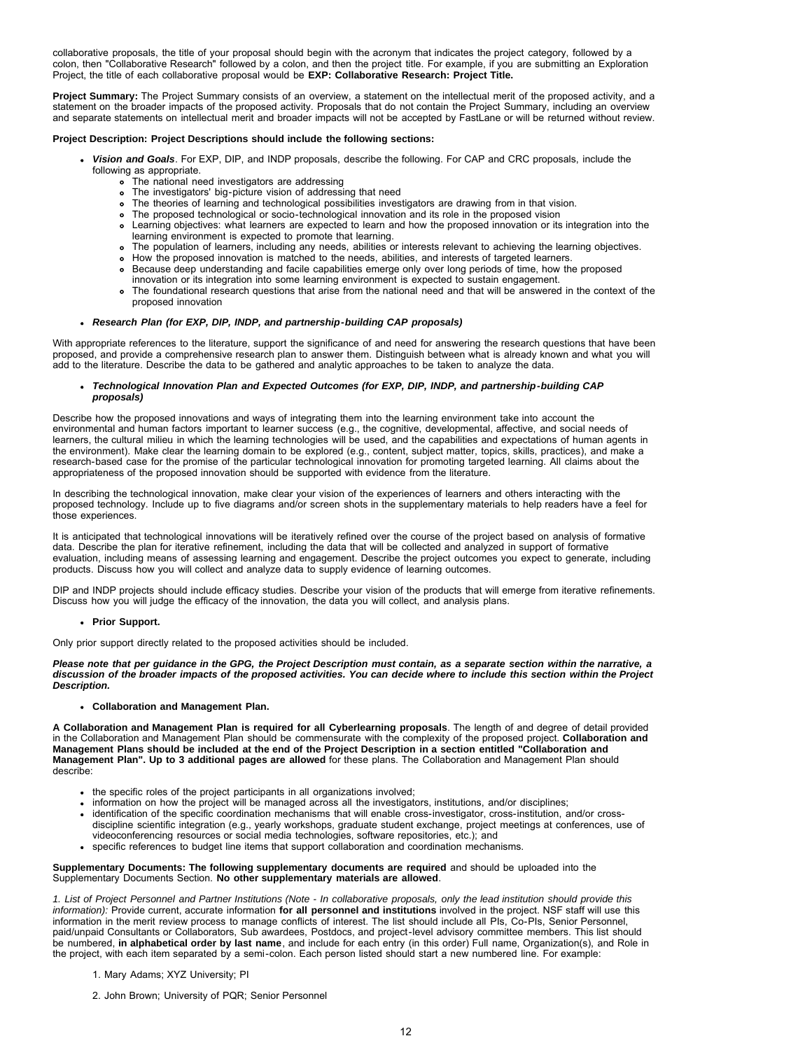collaborative proposals, the title of your proposal should begin with the acronym that indicates the project category, followed by a colon, then "Collaborative Research" followed by a colon, and then the project title. For example, if you are submitting an Exploration Project, the title of each collaborative proposal would be **EXP: Collaborative Research: Project Title.**

**Project Summary:** The Project Summary consists of an overview, a statement on the intellectual merit of the proposed activity, and a statement on the broader impacts of the proposed activity. Proposals that do not contain the Project Summary, including an overview and separate statements on intellectual merit and broader impacts will not be accepted by FastLane or will be returned without review.

#### **Project Description: Project Descriptions should include the following sections:**

- *Vision and Goals*. For EXP, DIP, and INDP proposals, describe the following. For CAP and CRC proposals, include the following as appropriate.
	- The national need investigators are addressing
	- The investigators' big-picture vision of addressing that need
	- The theories of learning and technological possibilities investigators are drawing from in that vision.
	- The proposed technological or socio-technological innovation and its role in the proposed vision
	- Learning objectives: what learners are expected to learn and how the proposed innovation or its integration into the learning environment is expected to promote that learning.
	- The population of learners, including any needs, abilities or interests relevant to achieving the learning objectives.
	- How the proposed innovation is matched to the needs, abilities, and interests of targeted learners.
	- Because deep understanding and facile capabilities emerge only over long periods of time, how the proposed innovation or its integration into some learning environment is expected to sustain engagement.
	- The foundational research questions that arise from the national need and that will be answered in the context of the proposed innovation

#### *Research Plan (for EXP, DIP, INDP, and partnership-building CAP proposals)*

With appropriate references to the literature, support the significance of and need for answering the research questions that have been proposed, and provide a comprehensive research plan to answer them. Distinguish between what is already known and what you will add to the literature. Describe the data to be gathered and analytic approaches to be taken to analyze the data.

#### *Technological Innovation Plan and Expected Outcomes (for EXP, DIP, INDP, and partnership-building CAP proposals)*

Describe how the proposed innovations and ways of integrating them into the learning environment take into account the environmental and human factors important to learner success (e.g., the cognitive, developmental, affective, and social needs of learners, the cultural milieu in which the learning technologies will be used, and the capabilities and expectations of human agents in the environment). Make clear the learning domain to be explored (e.g., content, subject matter, topics, skills, practices), and make a research-based case for the promise of the particular technological innovation for promoting targeted learning. All claims about the appropriateness of the proposed innovation should be supported with evidence from the literature.

In describing the technological innovation, make clear your vision of the experiences of learners and others interacting with the proposed technology. Include up to five diagrams and/or screen shots in the supplementary materials to help readers have a feel for those experiences.

It is anticipated that technological innovations will be iteratively refined over the course of the project based on analysis of formative data. Describe the plan for iterative refinement, including the data that will be collected and analyzed in support of formative evaluation, including means of assessing learning and engagement. Describe the project outcomes you expect to generate, including products. Discuss how you will collect and analyze data to supply evidence of learning outcomes.

DIP and INDP projects should include efficacy studies. Describe your vision of the products that will emerge from iterative refinements. Discuss how you will judge the efficacy of the innovation, the data you will collect, and analysis plans.

#### **Prior Support.**

Only prior support directly related to the proposed activities should be included.

*Please note that per guidance in the GPG, the Project Description must contain, as a separate section within the narrative, a discussion of the broader impacts of the proposed activities. You can decide where to include this section within the Project Description.*

**Collaboration and Management Plan.**

**A Collaboration and Management Plan is required for all Cyberlearning proposals**. The length of and degree of detail provided in the Collaboration and Management Plan should be commensurate with the complexity of the proposed project. **Collaboration and Management Plans should be included at the end of the Project Description in a section entitled "Collaboration and Management Plan". Up to 3 additional pages are allowed** for these plans. The Collaboration and Management Plan should describe:

- the specific roles of the project participants in all organizations involved;
- information on how the project will be managed across all the investigators, institutions, and/or disciplines;
- identification of the specific coordination mechanisms that will enable cross-investigator, cross-institution, and/or crossdiscipline scientific integration (e.g., yearly workshops, graduate student exchange, project meetings at conferences, use of videoconferencing resources or social media technologies, software repositories, etc.); and
- specific references to budget line items that support collaboration and coordination mechanisms.

#### **Supplementary Documents: The following supplementary documents are required** and should be uploaded into the Supplementary Documents Section. **No other supplementary materials are allowed**.

*1. List of Project Personnel and Partner Institutions (Note - In collaborative proposals, only the lead institution should provide this information):* Provide current, accurate information **for all personnel and institutions** involved in the project. NSF staff will use this information in the merit review process to manage conflicts of interest. The list should include all PIs, Co-PIs, Senior Personnel, paid/unpaid Consultants or Collaborators, Sub awardees, Postdocs, and project-level advisory committee members. This list should be numbered, **in alphabetical order by last name**, and include for each entry (in this order) Full name, Organization(s), and Role in the project, with each item separated by a semi-colon. Each person listed should start a new numbered line. For example:

- 1. Mary Adams; XYZ University; PI
- 2. John Brown; University of PQR; Senior Personnel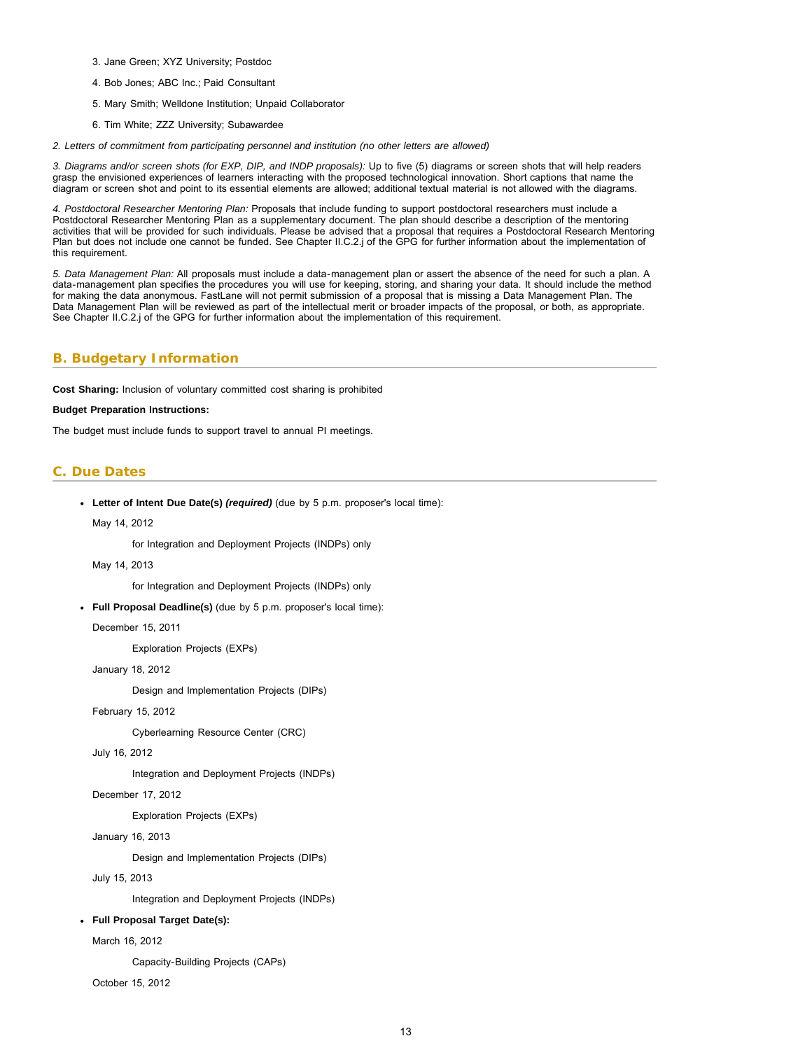- 3. Jane Green; XYZ University; Postdoc
- 4. Bob Jones; ABC Inc.; Paid Consultant
- 5. Mary Smith; Welldone Institution; Unpaid Collaborator
- 6. Tim White; ZZZ University; Subawardee

*2. Letters of commitment from participating personnel and institution (no other letters are allowed)*

*3. Diagrams and/or screen shots (for EXP, DIP, and INDP proposals):* Up to five (5) diagrams or screen shots that will help readers grasp the envisioned experiences of learners interacting with the proposed technological innovation. Short captions that name the diagram or screen shot and point to its essential elements are allowed; additional textual material is not allowed with the diagrams.

*4. Postdoctoral Researcher Mentoring Plan:* Proposals that include funding to support postdoctoral researchers must include a Postdoctoral Researcher Mentoring Plan as a supplementary document. The plan should describe a description of the mentoring activities that will be provided for such individuals. Please be advised that a proposal that requires a Postdoctoral Research Mentoring Plan but does not include one cannot be funded. See Chapter II.C.2.j of the GPG for further information about the implementation of this requirement.

*5. Data Management Plan:* All proposals must include a data-management plan or assert the absence of the need for such a plan. A data-management plan specifies the procedures you will use for keeping, storing, and sharing your data. It should include the method for making the data anonymous. FastLane will not permit submission of a proposal that is missing a Data Management Plan. The Data Management Plan will be reviewed as part of the intellectual merit or broader impacts of the proposal, or both, as appropriate. See Chapter II.C.2.j of the GPG for further information about the implementation of this requirement.

### <span id="page-12-0"></span>**B. Budgetary Information**

**Cost Sharing:** Inclusion of voluntary committed cost sharing is prohibited

#### **Budget Preparation Instructions:**

The budget must include funds to support travel to annual PI meetings.

### <span id="page-12-1"></span>**C. Due Dates**

**Letter of Intent Due Date(s)** *(required)* (due by 5 p.m. proposer's local time):

May 14, 2012

for Integration and Deployment Projects (INDPs) only

May 14, 2013

for Integration and Deployment Projects (INDPs) only

### **Full Proposal Deadline(s)** (due by 5 p.m. proposer's local time):

December 15, 2011

Exploration Projects (EXPs)

January 18, 2012

Design and Implementation Projects (DIPs)

February 15, 2012

Cyberlearning Resource Center (CRC)

July 16, 2012

Integration and Deployment Projects (INDPs)

December 17, 2012

Exploration Projects (EXPs)

January 16, 2013

Design and Implementation Projects (DIPs)

July 15, 2013

Integration and Deployment Projects (INDPs)

### **Full Proposal Target Date(s):**

March 16, 2012

Capacity-Building Projects (CAPs)

October 15, 2012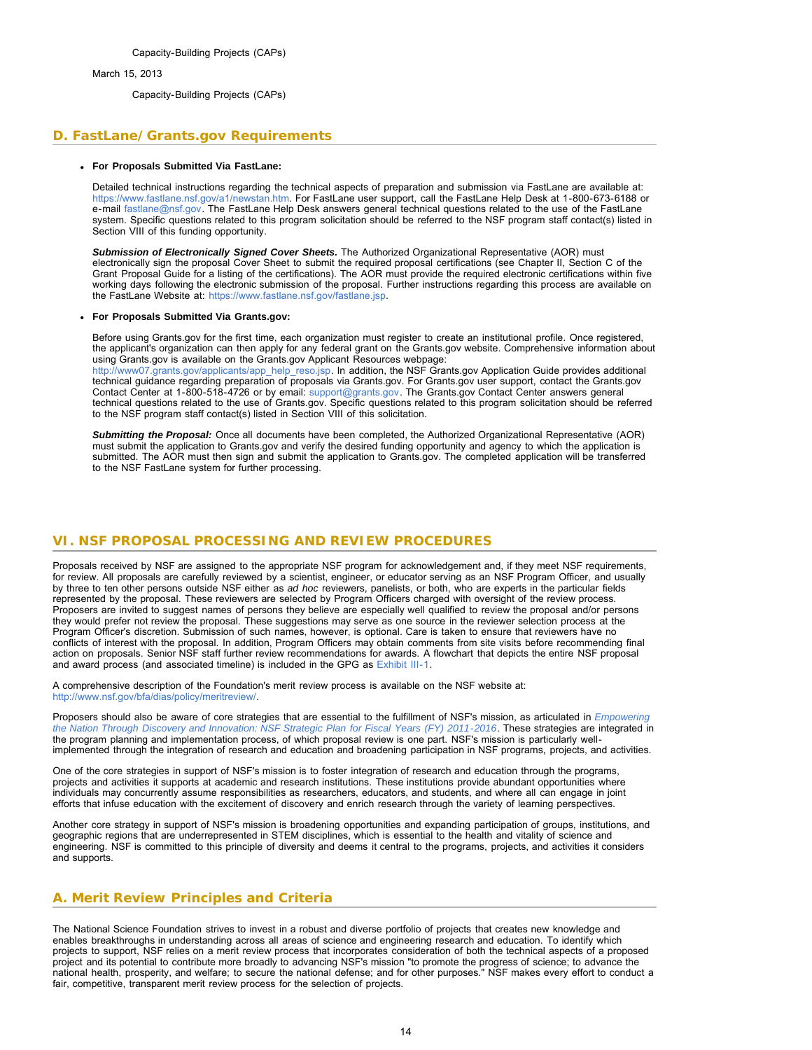#### March 15, 2013

Capacity-Building Projects (CAPs)

### <span id="page-13-0"></span>**D. FastLane/Grants.gov Requirements**

#### **For Proposals Submitted Via FastLane:**

Detailed technical instructions regarding the technical aspects of preparation and submission via FastLane are available at: [https://www.fastlane.nsf.gov/a1/newstan.htm.](https://www.fastlane.nsf.gov/a1/newstan.htm) For FastLane user support, call the FastLane Help Desk at 1-800-673-6188 or e-mail [fastlane@nsf.gov.](mailto:fastlane@nsf.gov) The FastLane Help Desk answers general technical questions related to the use of the FastLane system. Specific questions related to this program solicitation should be referred to the NSF program staff contact(s) listed in Section VIII of this funding opportunity.

*Submission of Electronically Signed Cover Sheets.* The Authorized Organizational Representative (AOR) must electronically sign the proposal Cover Sheet to submit the required proposal certifications (see Chapter II, Section C of the Grant Proposal Guide for a listing of the certifications). The AOR must provide the required electronic certifications within five working days following the electronic submission of the proposal. Further instructions regarding this process are available on the FastLane Website at: [https://www.fastlane.nsf.gov/fastlane.jsp.](https://www.fastlane.nsf.gov/fastlane.jsp)

#### **For Proposals Submitted Via Grants.gov:**

Before using Grants.gov for the first time, each organization must register to create an institutional profile. Once registered, the applicant's organization can then apply for any federal grant on the Grants.gov website. Comprehensive information about using Grants.gov is available on the Grants.gov Applicant Resources webpage:

[http://www07.grants.gov/applicants/app\\_help\\_reso.jsp.](http://www07.grants.gov/applicants/app_help_reso.jsp) In addition, the NSF Grants.gov Application Guide provides additional technical guidance regarding preparation of proposals via Grants.gov. For Grants.gov user support, contact the Grants.gov Contact Center at 1-800-518-4726 or by email: [support@grants.gov](mailto:support@grants.gov). The Grants.gov Contact Center answers general technical questions related to the use of Grants.gov. Specific questions related to this program solicitation should be referred to the NSF program staff contact(s) listed in Section VIII of this solicitation.

**Submitting the Proposal:** Once all documents have been completed, the Authorized Organizational Representative (AOR) must submit the application to Grants.gov and verify the desired funding opportunity and agency to which the application is submitted. The AOR must then sign and submit the application to Grants.gov. The completed application will be transferred to the NSF FastLane system for further processing.

### <span id="page-13-1"></span>**VI. NSF PROPOSAL PROCESSING AND REVIEW PROCEDURES**

Proposals received by NSF are assigned to the appropriate NSF program for acknowledgement and, if they meet NSF requirements, for review. All proposals are carefully reviewed by a scientist, engineer, or educator serving as an NSF Program Officer, and usually by three to ten other persons outside NSF either as *ad hoc* reviewers, panelists, or both, who are experts in the particular fields represented by the proposal. These reviewers are selected by Program Officers charged with oversight of the review process. Proposers are invited to suggest names of persons they believe are especially well qualified to review the proposal and/or persons they would prefer not review the proposal. These suggestions may serve as one source in the reviewer selection process at the Program Officer's discretion. Submission of such names, however, is optional. Care is taken to ensure that reviewers have no conflicts of interest with the proposal. In addition, Program Officers may obtain comments from site visits before recommending final action on proposals. Senior NSF staff further review recommendations for awards. A flowchart that depicts the entire NSF proposal and award process (and associated timeline) is included in the GPG as [Exhibit III-1](http://www.nsf.gov/pubs/policydocs/pappguide/nsf13001/gpg_3ex1.pdf).

A comprehensive description of the Foundation's merit review process is available on the NSF website at: [http://www.nsf.gov/bfa/dias/policy/meritreview/.](http://www.nsf.gov/bfa/dias/policy/meritreview/)

Proposers should also be aware of core strategies that are essential to the fulfillment of NSF's mission, as articulated in *[Empowering](http://www.nsf.gov/news/strategicplan/nsfstrategicplan_2011_2016.pdf) [the Nation Through Discovery and Innovation: NSF Strategic Plan for Fiscal Years \(FY\) 2011-2016](http://www.nsf.gov/news/strategicplan/nsfstrategicplan_2011_2016.pdf)*. These strategies are integrated in the program planning and implementation process, of which proposal review is one part. NSF's mission is particularly wellimplemented through the integration of research and education and broadening participation in NSF programs, projects, and activities.

One of the core strategies in support of NSF's mission is to foster integration of research and education through the programs, projects and activities it supports at academic and research institutions. These institutions provide abundant opportunities where individuals may concurrently assume responsibilities as researchers, educators, and students, and where all can engage in joint efforts that infuse education with the excitement of discovery and enrich research through the variety of learning perspectives.

Another core strategy in support of NSF's mission is broadening opportunities and expanding participation of groups, institutions, and geographic regions that are underrepresented in STEM disciplines, which is essential to the health and vitality of science and engineering. NSF is committed to this principle of diversity and deems it central to the programs, projects, and activities it considers and supports.

### <span id="page-13-2"></span>**A. Merit Review Principles and Criteria**

The National Science Foundation strives to invest in a robust and diverse portfolio of projects that creates new knowledge and enables breakthroughs in understanding across all areas of science and engineering research and education. To identify which projects to support, NSF relies on a merit review process that incorporates consideration of both the technical aspects of a proposed project and its potential to contribute more broadly to advancing NSF's mission "to promote the progress of science; to advance the national health, prosperity, and welfare; to secure the national defense; and for other purposes." NSF makes every effort to conduct a fair, competitive, transparent merit review process for the selection of projects.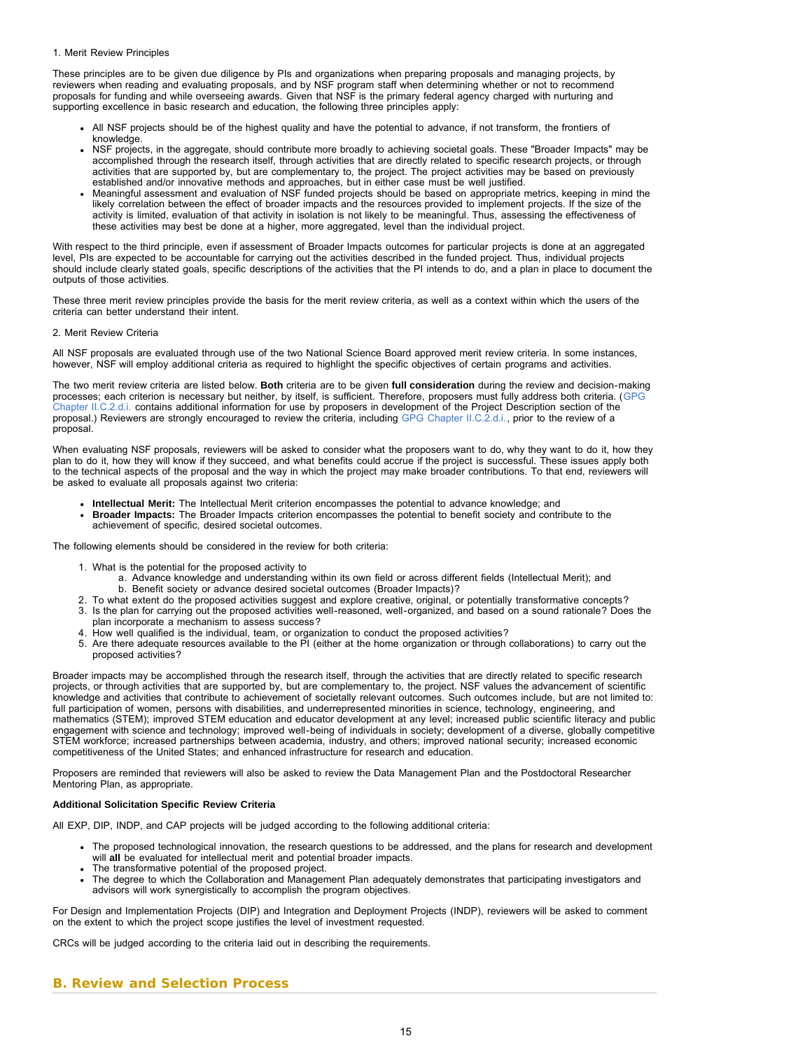#### 1. Merit Review Principles

These principles are to be given due diligence by PIs and organizations when preparing proposals and managing projects, by reviewers when reading and evaluating proposals, and by NSF program staff when determining whether or not to recommend proposals for funding and while overseeing awards. Given that NSF is the primary federal agency charged with nurturing and supporting excellence in basic research and education, the following three principles apply:

- All NSF projects should be of the highest quality and have the potential to advance, if not transform, the frontiers of knowledge.
- NSF projects, in the aggregate, should contribute more broadly to achieving societal goals. These "Broader Impacts" may be accomplished through the research itself, through activities that are directly related to specific research projects, or through activities that are supported by, but are complementary to, the project. The project activities may be based on previously established and/or innovative methods and approaches, but in either case must be well justified.
- Meaningful assessment and evaluation of NSF funded projects should be based on appropriate metrics, keeping in mind the likely correlation between the effect of broader impacts and the resources provided to implement projects. If the size of the activity is limited, evaluation of that activity in isolation is not likely to be meaningful. Thus, assessing the effectiveness of these activities may best be done at a higher, more aggregated, level than the individual project.

With respect to the third principle, even if assessment of Broader Impacts outcomes for particular projects is done at an aggregated level, PIs are expected to be accountable for carrying out the activities described in the funded project. Thus, individual projects should include clearly stated goals, specific descriptions of the activities that the PI intends to do, and a plan in place to document the outputs of those activities.

These three merit review principles provide the basis for the merit review criteria, as well as a context within which the users of the criteria can better understand their intent.

#### 2. Merit Review Criteria

All NSF proposals are evaluated through use of the two National Science Board approved merit review criteria. In some instances, however, NSF will employ additional criteria as required to highlight the specific objectives of certain programs and activities.

The two merit review criteria are listed below. **Both** criteria are to be given **full consideration** during the review and decision-making processes; each criterion is necessary but neither, by itself, is sufficient. Therefore, proposers must fully address both criteria. ([GPG](http://www.nsf.gov/pubs/policydocs/pappguide/nsf13001/gpg_2.jsp#IIC2di) [Chapter II.C.2.d.i.](http://www.nsf.gov/pubs/policydocs/pappguide/nsf13001/gpg_2.jsp#IIC2di) contains additional information for use by proposers in development of the Project Description section of the proposal.) Reviewers are strongly encouraged to review the criteria, including [GPG Chapter II.C.2.d.i.,](http://www.nsf.gov/pubs/policydocs/pappguide/nsf13001/gpg_2.jsp#IIC2di) prior to the review of a proposal.

When evaluating NSF proposals, reviewers will be asked to consider what the proposers want to do, why they want to do it, how they plan to do it, how they will know if they succeed, and what benefits could accrue if the project is successful. These issues apply both to the technical aspects of the proposal and the way in which the project may make broader contributions. To that end, reviewers will be asked to evaluate all proposals against two criteria:

- **Intellectual Merit:** The Intellectual Merit criterion encompasses the potential to advance knowledge; and
- **Broader Impacts:** The Broader Impacts criterion encompasses the potential to benefit society and contribute to the achievement of specific, desired societal outcomes.

The following elements should be considered in the review for both criteria:

- 1. What is the potential for the proposed activity to
	- a. Advance knowledge and understanding within its own field or across different fields (Intellectual Merit); and b. Benefit society or advance desired societal outcomes (Broader Impacts)?
- 2. To what extent do the proposed activities suggest and explore creative, original, or potentially transformative concepts?
- 3. Is the plan for carrying out the proposed activities well-reasoned, well-organized, and based on a sound rationale? Does the plan incorporate a mechanism to assess success?
- 4. How well qualified is the individual, team, or organization to conduct the proposed activities?
- 5. Are there adequate resources available to the PI (either at the home organization or through collaborations) to carry out the proposed activities?

Broader impacts may be accomplished through the research itself, through the activities that are directly related to specific research projects, or through activities that are supported by, but are complementary to, the project. NSF values the advancement of scientific knowledge and activities that contribute to achievement of societally relevant outcomes. Such outcomes include, but are not limited to: full participation of women, persons with disabilities, and underrepresented minorities in science, technology, engineering, and mathematics (STEM); improved STEM education and educator development at any level; increased public scientific literacy and public engagement with science and technology; improved well-being of individuals in society; development of a diverse, globally competitive STEM workforce; increased partnerships between academia, industry, and others; improved national security; increased economic competitiveness of the United States; and enhanced infrastructure for research and education.

Proposers are reminded that reviewers will also be asked to review the Data Management Plan and the Postdoctoral Researcher Mentoring Plan, as appropriate.

#### **Additional Solicitation Specific Review Criteria**

All EXP, DIP, INDP, and CAP projects will be judged according to the following additional criteria:

- The proposed technological innovation, the research questions to be addressed, and the plans for research and development will **all** be evaluated for intellectual merit and potential broader impacts.
- The transformative potential of the proposed project.
- The degree to which the Collaboration and Management Plan adequately demonstrates that participating investigators and advisors will work synergistically to accomplish the program objectives.

For Design and Implementation Projects (DIP) and Integration and Deployment Projects (INDP), reviewers will be asked to comment on the extent to which the project scope justifies the level of investment requested.

<span id="page-14-0"></span>CRCs will be judged according to the criteria laid out in describing the requirements.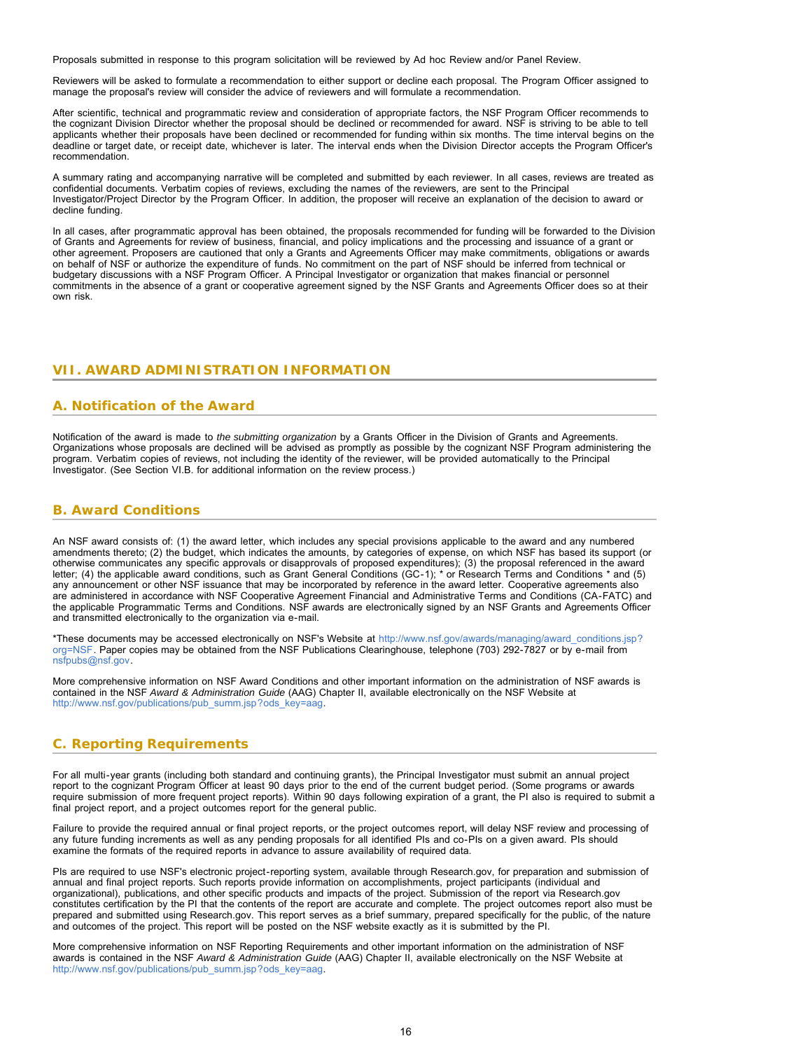Proposals submitted in response to this program solicitation will be reviewed by Ad hoc Review and/or Panel Review.

Reviewers will be asked to formulate a recommendation to either support or decline each proposal. The Program Officer assigned to manage the proposal's review will consider the advice of reviewers and will formulate a recommendation.

After scientific, technical and programmatic review and consideration of appropriate factors, the NSF Program Officer recommends to the cognizant Division Director whether the proposal should be declined or recommended for award. NSF is striving to be able to tell applicants whether their proposals have been declined or recommended for funding within six months. The time interval begins on the deadline or target date, or receipt date, whichever is later. The interval ends when the Division Director accepts the Program Officer's recommendation.

A summary rating and accompanying narrative will be completed and submitted by each reviewer. In all cases, reviews are treated as confidential documents. Verbatim copies of reviews, excluding the names of the reviewers, are sent to the Principal Investigator/Project Director by the Program Officer. In addition, the proposer will receive an explanation of the decision to award or decline funding.

In all cases, after programmatic approval has been obtained, the proposals recommended for funding will be forwarded to the Division of Grants and Agreements for review of business, financial, and policy implications and the processing and issuance of a grant or other agreement. Proposers are cautioned that only a Grants and Agreements Officer may make commitments, obligations or awards on behalf of NSF or authorize the expenditure of funds. No commitment on the part of NSF should be inferred from technical or budgetary discussions with a NSF Program Officer. A Principal Investigator or organization that makes financial or personnel commitments in the absence of a grant or cooperative agreement signed by the NSF Grants and Agreements Officer does so at their own risk.

### <span id="page-15-0"></span>**VII. AWARD ADMINISTRATION INFORMATION**

### <span id="page-15-1"></span>**A. Notification of the Award**

Notification of the award is made to *the submitting organization* by a Grants Officer in the Division of Grants and Agreements. Organizations whose proposals are declined will be advised as promptly as possible by the cognizant NSF Program administering the program. Verbatim copies of reviews, not including the identity of the reviewer, will be provided automatically to the Principal Investigator. (See Section VI.B. for additional information on the review process.)

### <span id="page-15-2"></span>**B. Award Conditions**

An NSF award consists of: (1) the award letter, which includes any special provisions applicable to the award and any numbered amendments thereto; (2) the budget, which indicates the amounts, by categories of expense, on which NSF has based its support (or otherwise communicates any specific approvals or disapprovals of proposed expenditures); (3) the proposal referenced in the award letter; (4) the applicable award conditions, such as Grant General Conditions (GC-1); \* or Research Terms and Conditions \* and (5) any announcement or other NSF issuance that may be incorporated by reference in the award letter. Cooperative agreements also are administered in accordance with NSF Cooperative Agreement Financial and Administrative Terms and Conditions (CA-FATC) and the applicable Programmatic Terms and Conditions. NSF awards are electronically signed by an NSF Grants and Agreements Officer and transmitted electronically to the organization via e-mail.

\*These documents may be accessed electronically on NSF's Website at [http://www.nsf.gov/awards/managing/award\\_conditions.jsp?](http://www.nsf.gov/awards/managing/award_conditions.jsp?org=NSF) [org=NSF.](http://www.nsf.gov/awards/managing/award_conditions.jsp?org=NSF) Paper copies may be obtained from the NSF Publications Clearinghouse, telephone (703) 292-7827 or by e-mail from [nsfpubs@nsf.gov.](mailto:nsfpubs@nsf.gov)

More comprehensive information on NSF Award Conditions and other important information on the administration of NSF awards is contained in the NSF *Award & Administration Guide* (AAG) Chapter II, available electronically on the NSF Website at [http://www.nsf.gov/publications/pub\\_summ.jsp?ods\\_key=aag.](http://www.nsf.gov/publications/pub_summ.jsp?ods_key=aag)

## <span id="page-15-3"></span>**C. Reporting Requirements**

For all multi-year grants (including both standard and continuing grants), the Principal Investigator must submit an annual project report to the cognizant Program Officer at least 90 days prior to the end of the current budget period. (Some programs or awards require submission of more frequent project reports). Within 90 days following expiration of a grant, the PI also is required to submit a final project report, and a project outcomes report for the general public.

Failure to provide the required annual or final project reports, or the project outcomes report, will delay NSF review and processing of any future funding increments as well as any pending proposals for all identified PIs and co-PIs on a given award. PIs should examine the formats of the required reports in advance to assure availability of required data.

PIs are required to use NSF's electronic project-reporting system, available through Research.gov, for preparation and submission of annual and final project reports. Such reports provide information on accomplishments, project participants (individual and organizational), publications, and other specific products and impacts of the project. Submission of the report via Research.gov constitutes certification by the PI that the contents of the report are accurate and complete. The project outcomes report also must be prepared and submitted using Research.gov. This report serves as a brief summary, prepared specifically for the public, of the nature and outcomes of the project. This report will be posted on the NSF website exactly as it is submitted by the PI.

<span id="page-15-4"></span>More comprehensive information on NSF Reporting Requirements and other important information on the administration of NSF awards is contained in the NSF *Award & Administration Guide* (AAG) Chapter II, available electronically on the NSF Website at [http://www.nsf.gov/publications/pub\\_summ.jsp?ods\\_key=aag.](http://www.nsf.gov/publications/pub_summ.jsp?ods_key=aag)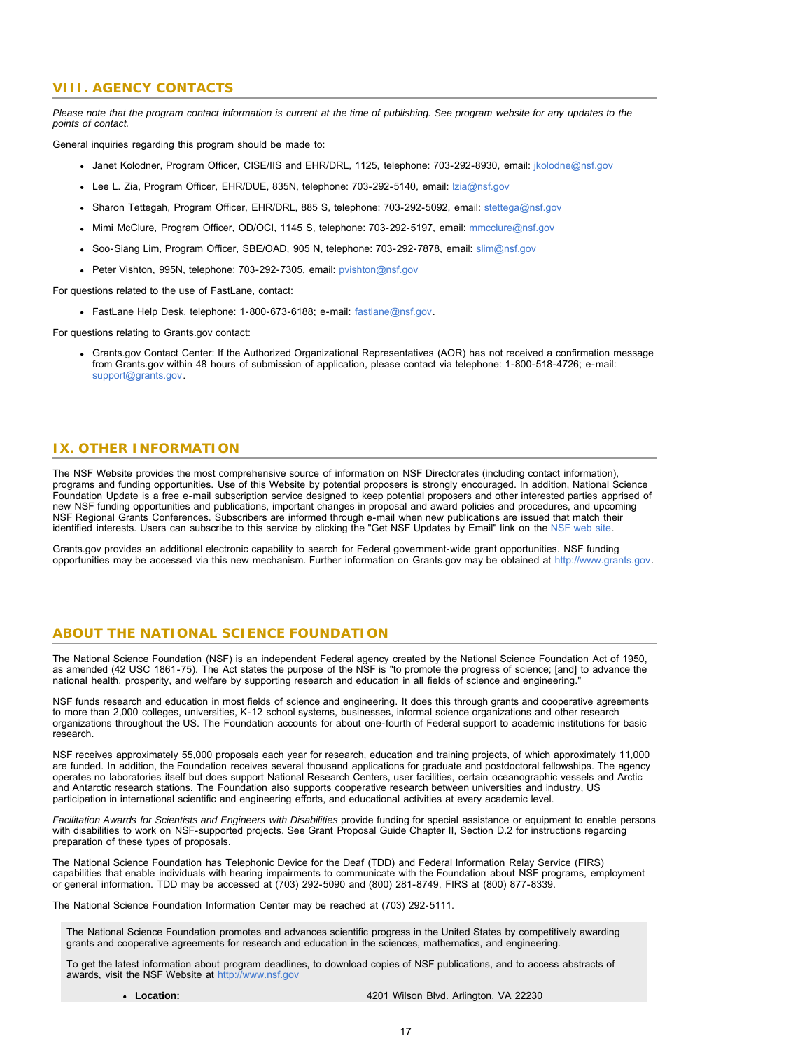### **VIII. AGENCY CONTACTS**

*Please note that the program contact information is current at the time of publishing. See program website for any updates to the points of contact.*

General inquiries regarding this program should be made to:

- Janet Kolodner, Program Officer, CISE/IIS and EHR/DRL, 1125, telephone: 703-292-8930, email: [jkolodne@nsf.gov](mailto:jkolodne@nsf.gov)
- Lee L. Zia, Program Officer, EHR/DUE, 835N, telephone: 703-292-5140, email: [lzia@nsf.gov](mailto:lzia@nsf.gov)
- Sharon Tettegah, Program Officer, EHR/DRL, 885 S, telephone: 703-292-5092, email: [stettega@nsf.gov](mailto:stettega@nsf.gov)
- Mimi McClure, Program Officer, OD/OCI, 1145 S, telephone: 703-292-5197, email: [mmcclure@nsf.gov](mailto:mmcclure@nsf.gov)
- Soo-Siang Lim, Program Officer, SBE/OAD, 905 N, telephone: 703-292-7878, email: [slim@nsf.gov](mailto:slim@nsf.gov)
- Peter Vishton, 995N, telephone: 703-292-7305, email: [pvishton@nsf.gov](mailto:pvishton@nsf.gov)

For questions related to the use of FastLane, contact:

FastLane Help Desk, telephone: 1-800-673-6188; e-mail: [fastlane@nsf.gov.](mailto:fastlane@nsf.gov)

For questions relating to Grants.gov contact:

Grants.gov Contact Center: If the Authorized Organizational Representatives (AOR) has not received a confirmation message from Grants.gov within 48 hours of submission of application, please contact via telephone: 1-800-518-4726; e-mail: [support@grants.gov](mailto:support@grants.gov).

### <span id="page-16-0"></span>**IX. OTHER INFORMATION**

The NSF Website provides the most comprehensive source of information on NSF Directorates (including contact information), programs and funding opportunities. Use of this Website by potential proposers is strongly encouraged. In addition, National Science Foundation Update is a free e-mail subscription service designed to keep potential proposers and other interested parties apprised of new NSF funding opportunities and publications, important changes in proposal and award policies and procedures, and upcoming NSF Regional Grants Conferences. Subscribers are informed through e-mail when new publications are issued that match their identified interests. Users can subscribe to this service by clicking the "Get NSF Updates by Email" link on the [NSF web site.](http://www.nsf.gov/)

Grants.gov provides an additional electronic capability to search for Federal government-wide grant opportunities. NSF funding opportunities may be accessed via this new mechanism. Further information on Grants.gov may be obtained at [http://www.grants.gov.](http://www.grants.gov/)

### **ABOUT THE NATIONAL SCIENCE FOUNDATION**

The National Science Foundation (NSF) is an independent Federal agency created by the National Science Foundation Act of 1950, as amended (42 USC 1861-75). The Act states the purpose of the NSF is "to promote the progress of science; [and] to advance the national health, prosperity, and welfare by supporting research and education in all fields of science and engineering."

NSF funds research and education in most fields of science and engineering. It does this through grants and cooperative agreements to more than 2,000 colleges, universities, K-12 school systems, businesses, informal science organizations and other research organizations throughout the US. The Foundation accounts for about one-fourth of Federal support to academic institutions for basic research.

NSF receives approximately 55,000 proposals each year for research, education and training projects, of which approximately 11,000 are funded. In addition, the Foundation receives several thousand applications for graduate and postdoctoral fellowships. The agency operates no laboratories itself but does support National Research Centers, user facilities, certain oceanographic vessels and Arctic and Antarctic research stations. The Foundation also supports cooperative research between universities and industry, US participation in international scientific and engineering efforts, and educational activities at every academic level.

*Facilitation Awards for Scientists and Engineers with Disabilities* provide funding for special assistance or equipment to enable persons with disabilities to work on NSF-supported projects. See Grant Proposal Guide Chapter II, Section D.2 for instructions regarding preparation of these types of proposals.

The National Science Foundation has Telephonic Device for the Deaf (TDD) and Federal Information Relay Service (FIRS) capabilities that enable individuals with hearing impairments to communicate with the Foundation about NSF programs, employment or general information. TDD may be accessed at (703) 292-5090 and (800) 281-8749, FIRS at (800) 877-8339.

The National Science Foundation Information Center may be reached at (703) 292-5111.

The National Science Foundation promotes and advances scientific progress in the United States by competitively awarding grants and cooperative agreements for research and education in the sciences, mathematics, and engineering.

To get the latest information about program deadlines, to download copies of NSF publications, and to access abstracts of awards, visit the NSF Website at [http://www.nsf.gov](http://www.nsf.gov/)

**Location:** 4201 Wilson Blvd. Arlington, VA 22230